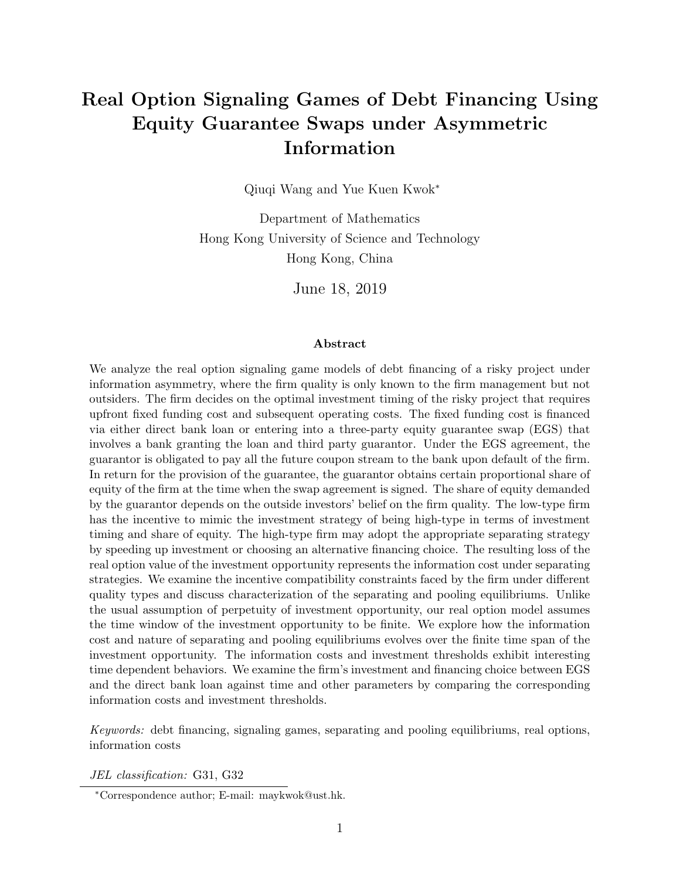# Real Option Signaling Games of Debt Financing Using Equity Guarantee Swaps under Asymmetric Information

Qiuqi Wang and Yue Kuen Kwok<sup>∗</sup>

Department of Mathematics Hong Kong University of Science and Technology Hong Kong, China

June 18, 2019

#### Abstract

We analyze the real option signaling game models of debt financing of a risky project under information asymmetry, where the firm quality is only known to the firm management but not outsiders. The firm decides on the optimal investment timing of the risky project that requires upfront fixed funding cost and subsequent operating costs. The fixed funding cost is financed via either direct bank loan or entering into a three-party equity guarantee swap (EGS) that involves a bank granting the loan and third party guarantor. Under the EGS agreement, the guarantor is obligated to pay all the future coupon stream to the bank upon default of the firm. In return for the provision of the guarantee, the guarantor obtains certain proportional share of equity of the firm at the time when the swap agreement is signed. The share of equity demanded by the guarantor depends on the outside investors' belief on the firm quality. The low-type firm has the incentive to mimic the investment strategy of being high-type in terms of investment timing and share of equity. The high-type firm may adopt the appropriate separating strategy by speeding up investment or choosing an alternative financing choice. The resulting loss of the real option value of the investment opportunity represents the information cost under separating strategies. We examine the incentive compatibility constraints faced by the firm under different quality types and discuss characterization of the separating and pooling equilibriums. Unlike the usual assumption of perpetuity of investment opportunity, our real option model assumes the time window of the investment opportunity to be finite. We explore how the information cost and nature of separating and pooling equilibriums evolves over the finite time span of the investment opportunity. The information costs and investment thresholds exhibit interesting time dependent behaviors. We examine the firm's investment and financing choice between EGS and the direct bank loan against time and other parameters by comparing the corresponding information costs and investment thresholds.

Keywords: debt financing, signaling games, separating and pooling equilibriums, real options, information costs

JEL classification: G31, G32

<sup>∗</sup>Correspondence author; E-mail: maykwok@ust.hk.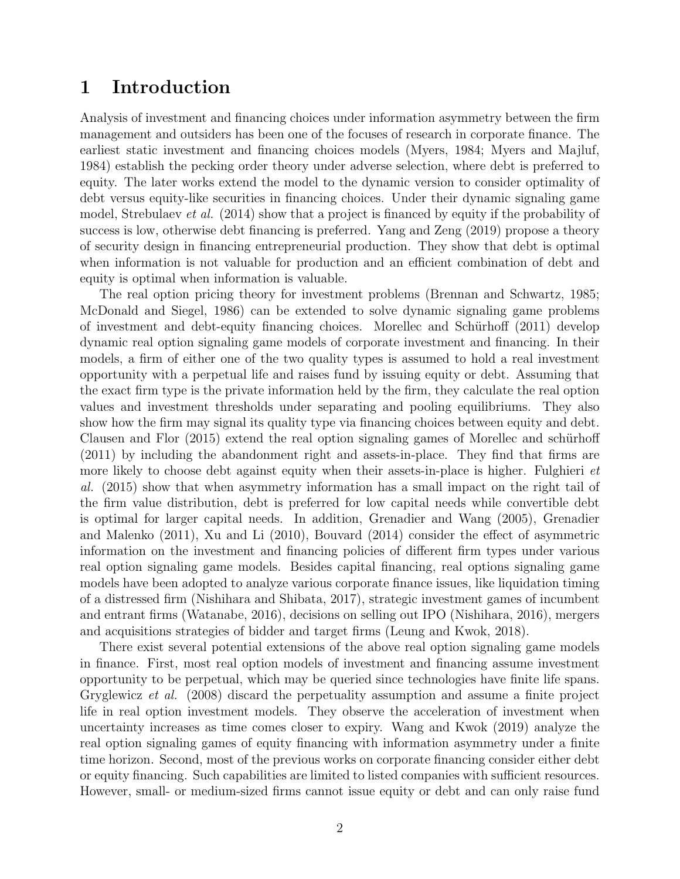## 1 Introduction

Analysis of investment and financing choices under information asymmetry between the firm management and outsiders has been one of the focuses of research in corporate finance. The earliest static investment and financing choices models (Myers, 1984; Myers and Majluf, 1984) establish the pecking order theory under adverse selection, where debt is preferred to equity. The later works extend the model to the dynamic version to consider optimality of debt versus equity-like securities in financing choices. Under their dynamic signaling game model, Strebulaev *et al.* (2014) show that a project is financed by equity if the probability of success is low, otherwise debt financing is preferred. Yang and Zeng (2019) propose a theory of security design in financing entrepreneurial production. They show that debt is optimal when information is not valuable for production and an efficient combination of debt and equity is optimal when information is valuable.

The real option pricing theory for investment problems (Brennan and Schwartz, 1985; McDonald and Siegel, 1986) can be extended to solve dynamic signaling game problems of investment and debt-equity financing choices. Morellec and Schürhoff (2011) develop dynamic real option signaling game models of corporate investment and financing. In their models, a firm of either one of the two quality types is assumed to hold a real investment opportunity with a perpetual life and raises fund by issuing equity or debt. Assuming that the exact firm type is the private information held by the firm, they calculate the real option values and investment thresholds under separating and pooling equilibriums. They also show how the firm may signal its quality type via financing choices between equity and debt. Clausen and Flor (2015) extend the real option signaling games of Morellec and schürhoff (2011) by including the abandonment right and assets-in-place. They find that firms are more likely to choose debt against equity when their assets-in-place is higher. Fulghieri *et* al. (2015) show that when asymmetry information has a small impact on the right tail of the firm value distribution, debt is preferred for low capital needs while convertible debt is optimal for larger capital needs. In addition, Grenadier and Wang (2005), Grenadier and Malenko (2011), Xu and Li (2010), Bouvard (2014) consider the effect of asymmetric information on the investment and financing policies of different firm types under various real option signaling game models. Besides capital financing, real options signaling game models have been adopted to analyze various corporate finance issues, like liquidation timing of a distressed firm (Nishihara and Shibata, 2017), strategic investment games of incumbent and entrant firms (Watanabe, 2016), decisions on selling out IPO (Nishihara, 2016), mergers and acquisitions strategies of bidder and target firms (Leung and Kwok, 2018).

There exist several potential extensions of the above real option signaling game models in finance. First, most real option models of investment and financing assume investment opportunity to be perpetual, which may be queried since technologies have finite life spans. Gryglewicz et al. (2008) discard the perpetuality assumption and assume a finite project life in real option investment models. They observe the acceleration of investment when uncertainty increases as time comes closer to expiry. Wang and Kwok (2019) analyze the real option signaling games of equity financing with information asymmetry under a finite time horizon. Second, most of the previous works on corporate financing consider either debt or equity financing. Such capabilities are limited to listed companies with sufficient resources. However, small- or medium-sized firms cannot issue equity or debt and can only raise fund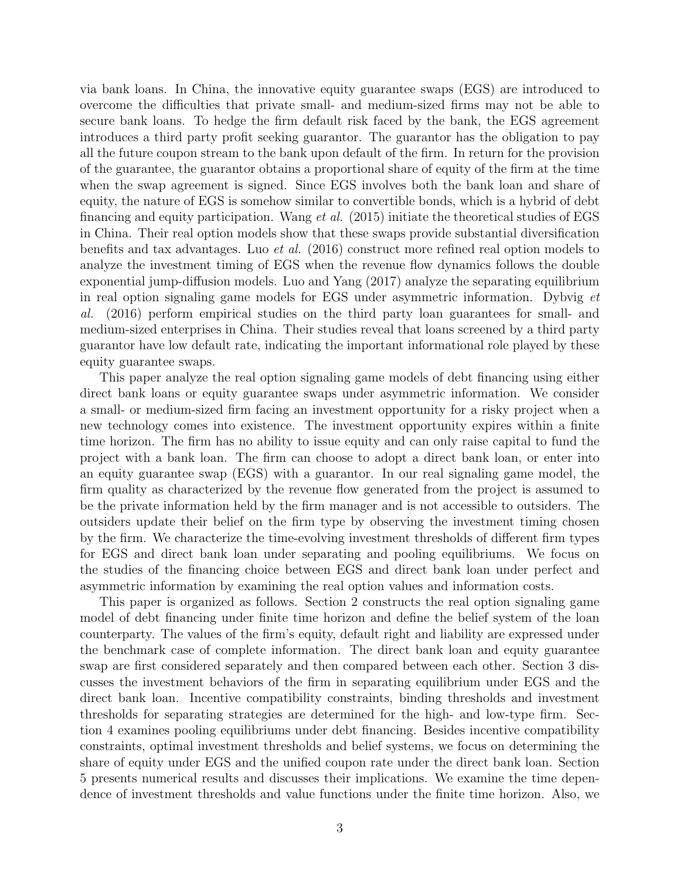via bank loans. In China, the innovative equity guarantee swaps (EGS) are introduced to overcome the difficulties that private small- and medium-sized firms may not be able to secure bank loans. To hedge the firm default risk faced by the bank, the EGS agreement introduces a third party profit seeking guarantor. The guarantor has the obligation to pay all the future coupon stream to the bank upon default of the firm. In return for the provision of the guarantee, the guarantor obtains a proportional share of equity of the firm at the time when the swap agreement is signed. Since EGS involves both the bank loan and share of equity, the nature of EGS is somehow similar to convertible bonds, which is a hybrid of debt financing and equity participation. Wang *et al.* (2015) initiate the theoretical studies of EGS in China. Their real option models show that these swaps provide substantial diversification benefits and tax advantages. Luo et al. (2016) construct more refined real option models to analyze the investment timing of EGS when the revenue flow dynamics follows the double exponential jump-diffusion models. Luo and Yang (2017) analyze the separating equilibrium in real option signaling game models for EGS under asymmetric information. Dybvig et al. (2016) perform empirical studies on the third party loan guarantees for small- and medium-sized enterprises in China. Their studies reveal that loans screened by a third party guarantor have low default rate, indicating the important informational role played by these equity guarantee swaps.

This paper analyze the real option signaling game models of debt financing using either direct bank loans or equity guarantee swaps under asymmetric information. We consider a small- or medium-sized firm facing an investment opportunity for a risky project when a new technology comes into existence. The investment opportunity expires within a finite time horizon. The firm has no ability to issue equity and can only raise capital to fund the project with a bank loan. The firm can choose to adopt a direct bank loan, or enter into an equity guarantee swap (EGS) with a guarantor. In our real signaling game model, the firm quality as characterized by the revenue flow generated from the project is assumed to be the private information held by the firm manager and is not accessible to outsiders. The outsiders update their belief on the firm type by observing the investment timing chosen by the firm. We characterize the time-evolving investment thresholds of different firm types for EGS and direct bank loan under separating and pooling equilibriums. We focus on the studies of the financing choice between EGS and direct bank loan under perfect and asymmetric information by examining the real option values and information costs.

This paper is organized as follows. Section 2 constructs the real option signaling game model of debt financing under finite time horizon and define the belief system of the loan counterparty. The values of the firm's equity, default right and liability are expressed under the benchmark case of complete information. The direct bank loan and equity guarantee swap are first considered separately and then compared between each other. Section 3 discusses the investment behaviors of the firm in separating equilibrium under EGS and the direct bank loan. Incentive compatibility constraints, binding thresholds and investment thresholds for separating strategies are determined for the high- and low-type firm. Section 4 examines pooling equilibriums under debt financing. Besides incentive compatibility constraints, optimal investment thresholds and belief systems, we focus on determining the share of equity under EGS and the unified coupon rate under the direct bank loan. Section 5 presents numerical results and discusses their implications. We examine the time dependence of investment thresholds and value functions under the finite time horizon. Also, we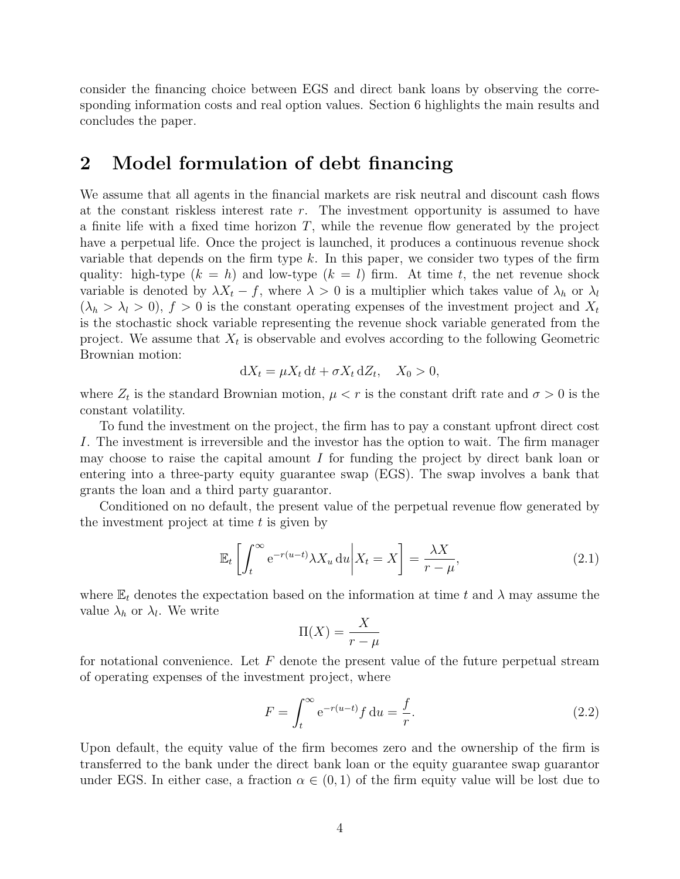consider the financing choice between EGS and direct bank loans by observing the corresponding information costs and real option values. Section 6 highlights the main results and concludes the paper.

## 2 Model formulation of debt financing

We assume that all agents in the financial markets are risk neutral and discount cash flows at the constant riskless interest rate  $r$ . The investment opportunity is assumed to have a finite life with a fixed time horizon  $T$ , while the revenue flow generated by the project have a perpetual life. Once the project is launched, it produces a continuous revenue shock variable that depends on the firm type  $k$ . In this paper, we consider two types of the firm quality: high-type  $(k = h)$  and low-type  $(k = l)$  firm. At time t, the net revenue shock variable is denoted by  $\lambda X_t - f$ , where  $\lambda > 0$  is a multiplier which takes value of  $\lambda_h$  or  $\lambda_l$  $(\lambda_h > \lambda_l > 0)$ ,  $f > 0$  is the constant operating expenses of the investment project and  $X_t$ is the stochastic shock variable representing the revenue shock variable generated from the project. We assume that  $X_t$  is observable and evolves according to the following Geometric Brownian motion:

$$
dX_t = \mu X_t dt + \sigma X_t dZ_t, \quad X_0 > 0,
$$

where  $Z_t$  is the standard Brownian motion,  $\mu < r$  is the constant drift rate and  $\sigma > 0$  is the constant volatility.

To fund the investment on the project, the firm has to pay a constant upfront direct cost I. The investment is irreversible and the investor has the option to wait. The firm manager may choose to raise the capital amount  $I$  for funding the project by direct bank loan or entering into a three-party equity guarantee swap (EGS). The swap involves a bank that grants the loan and a third party guarantor.

Conditioned on no default, the present value of the perpetual revenue flow generated by the investment project at time  $t$  is given by

$$
\mathbb{E}_t \left[ \int_t^\infty e^{-r(u-t)} \lambda X_u \, \mathrm{d}u \, \middle| X_t = X \right] = \frac{\lambda X}{r - \mu},\tag{2.1}
$$

where  $\mathbb{E}_t$  denotes the expectation based on the information at time t and  $\lambda$  may assume the value  $\lambda_h$  or  $\lambda_l$ . We write

$$
\Pi(X) = \frac{X}{r - \mu}
$$

for notational convenience. Let  $F$  denote the present value of the future perpetual stream of operating expenses of the investment project, where

$$
F = \int_{t}^{\infty} e^{-r(u-t)} f du = \frac{f}{r}.
$$
\n(2.2)

Upon default, the equity value of the firm becomes zero and the ownership of the firm is transferred to the bank under the direct bank loan or the equity guarantee swap guarantor under EGS. In either case, a fraction  $\alpha \in (0,1)$  of the firm equity value will be lost due to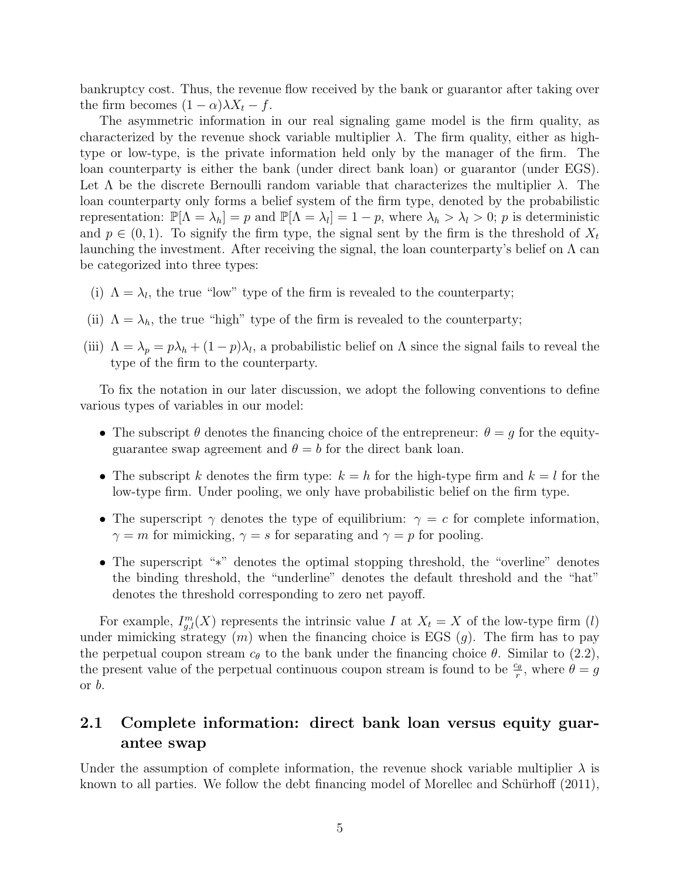bankruptcy cost. Thus, the revenue flow received by the bank or guarantor after taking over the firm becomes  $(1 - \alpha)\lambda X_t - f$ .

The asymmetric information in our real signaling game model is the firm quality, as characterized by the revenue shock variable multiplier  $\lambda$ . The firm quality, either as hightype or low-type, is the private information held only by the manager of the firm. The loan counterparty is either the bank (under direct bank loan) or guarantor (under EGS). Let  $\Lambda$  be the discrete Bernoulli random variable that characterizes the multiplier  $\lambda$ . The loan counterparty only forms a belief system of the firm type, denoted by the probabilistic representation:  $\mathbb{P}[\Lambda = \lambda_h] = p$  and  $\mathbb{P}[\Lambda = \lambda_l] = 1 - p$ , where  $\lambda_h > \lambda_l > 0$ ; p is deterministic and  $p \in (0, 1)$ . To signify the firm type, the signal sent by the firm is the threshold of  $X_t$ launching the investment. After receiving the signal, the loan counterparty's belief on  $\Lambda$  can be categorized into three types:

- (i)  $\Lambda = \lambda_l$ , the true "low" type of the firm is revealed to the counterparty;
- (ii)  $\Lambda = \lambda_h$ , the true "high" type of the firm is revealed to the counterparty;
- (iii)  $\Lambda = \lambda_p = p\lambda_h + (1-p)\lambda_l$ , a probabilistic belief on  $\Lambda$  since the signal fails to reveal the type of the firm to the counterparty.

To fix the notation in our later discussion, we adopt the following conventions to define various types of variables in our model:

- The subscript  $\theta$  denotes the financing choice of the entrepreneur:  $\theta = g$  for the equityguarantee swap agreement and  $\theta = b$  for the direct bank loan.
- The subscript k denotes the firm type:  $k = h$  for the high-type firm and  $k = l$  for the low-type firm. Under pooling, we only have probabilistic belief on the firm type.
- The superscript  $\gamma$  denotes the type of equilibrium:  $\gamma = c$  for complete information,  $\gamma = m$  for mimicking,  $\gamma = s$  for separating and  $\gamma = p$  for pooling.
- The superscript "∗" denotes the optimal stopping threshold, the "overline" denotes the binding threshold, the "underline" denotes the default threshold and the "hat" denotes the threshold corresponding to zero net payoff.

For example,  $I_{g,l}^m(X)$  represents the intrinsic value I at  $X_t = X$  of the low-type firm (l) under mimicking strategy  $(m)$  when the financing choice is EGS  $(g)$ . The firm has to pay the perpetual coupon stream  $c_{\theta}$  to the bank under the financing choice  $\theta$ . Similar to (2.2), the present value of the perpetual continuous coupon stream is found to be  $\frac{c_{\theta}}{r}$ , where  $\theta = g$ or b.

### 2.1 Complete information: direct bank loan versus equity guarantee swap

Under the assumption of complete information, the revenue shock variable multiplier  $\lambda$  is known to all parties. We follow the debt financing model of Morellec and Schürhoff  $(2011)$ ,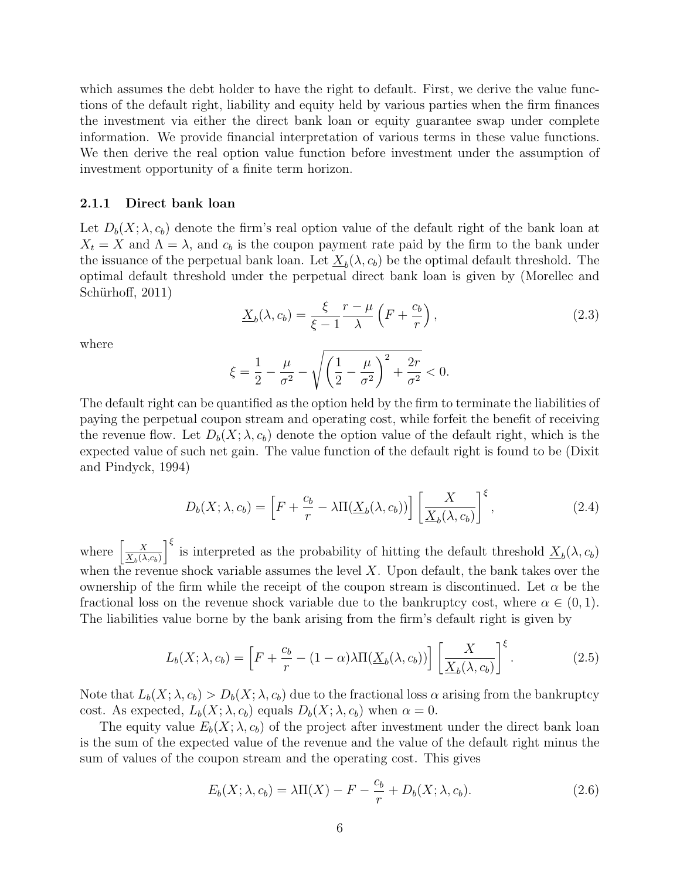which assumes the debt holder to have the right to default. First, we derive the value functions of the default right, liability and equity held by various parties when the firm finances the investment via either the direct bank loan or equity guarantee swap under complete information. We provide financial interpretation of various terms in these value functions. We then derive the real option value function before investment under the assumption of investment opportunity of a finite term horizon.

#### 2.1.1 Direct bank loan

Let  $D_b(X; \lambda, c_b)$  denote the firm's real option value of the default right of the bank loan at  $X_t = X$  and  $\Lambda = \lambda$ , and  $c_b$  is the coupon payment rate paid by the firm to the bank under the issuance of the perpetual bank loan. Let  $\underline{X}_b(\lambda, c_b)$  be the optimal default threshold. The optimal default threshold under the perpetual direct bank loan is given by (Morellec and Schürhoff, 2011)

$$
\underline{X}_b(\lambda, c_b) = \frac{\xi}{\xi - 1} \frac{r - \mu}{\lambda} \left( F + \frac{c_b}{r} \right),\tag{2.3}
$$

where

$$
\xi = \frac{1}{2} - \frac{\mu}{\sigma^2} - \sqrt{\left(\frac{1}{2} - \frac{\mu}{\sigma^2}\right)^2 + \frac{2r}{\sigma^2}} < 0.
$$

The default right can be quantified as the option held by the firm to terminate the liabilities of paying the perpetual coupon stream and operating cost, while forfeit the benefit of receiving the revenue flow. Let  $D_b(X; \lambda, c_b)$  denote the option value of the default right, which is the expected value of such net gain. The value function of the default right is found to be (Dixit and Pindyck, 1994)

$$
D_b(X; \lambda, c_b) = \left[ F + \frac{c_b}{r} - \lambda \Pi(\underline{X}_b(\lambda, c_b)) \right] \left[ \frac{X}{\underline{X}_b(\lambda, c_b)} \right]^{\xi}, \tag{2.4}
$$

where  $\frac{X}{X}$  $\underline{X}_b(\lambda,c_b)$  $\int_{0}^{\xi}$  is interpreted as the probability of hitting the default threshold  $\underline{X}_b(\lambda, c_b)$ when the revenue shock variable assumes the level  $X$ . Upon default, the bank takes over the ownership of the firm while the receipt of the coupon stream is discontinued. Let  $\alpha$  be the fractional loss on the revenue shock variable due to the bankruptcy cost, where  $\alpha \in (0,1)$ . The liabilities value borne by the bank arising from the firm's default right is given by

$$
L_b(X; \lambda, c_b) = \left[ F + \frac{c_b}{r} - (1 - \alpha) \lambda \Pi(\underline{X}_b(\lambda, c_b)) \right] \left[ \frac{X}{\underline{X}_b(\lambda, c_b)} \right]^{\xi}.
$$
 (2.5)

Note that  $L_b(X; \lambda, c_b) > D_b(X; \lambda, c_b)$  due to the fractional loss  $\alpha$  arising from the bankruptcy cost. As expected,  $L_b(X; \lambda, c_b)$  equals  $D_b(X; \lambda, c_b)$  when  $\alpha = 0$ .

The equity value  $E_b(X; \lambda, c_b)$  of the project after investment under the direct bank loan is the sum of the expected value of the revenue and the value of the default right minus the sum of values of the coupon stream and the operating cost. This gives

$$
E_b(X; \lambda, c_b) = \lambda \Pi(X) - F - \frac{c_b}{r} + D_b(X; \lambda, c_b).
$$
 (2.6)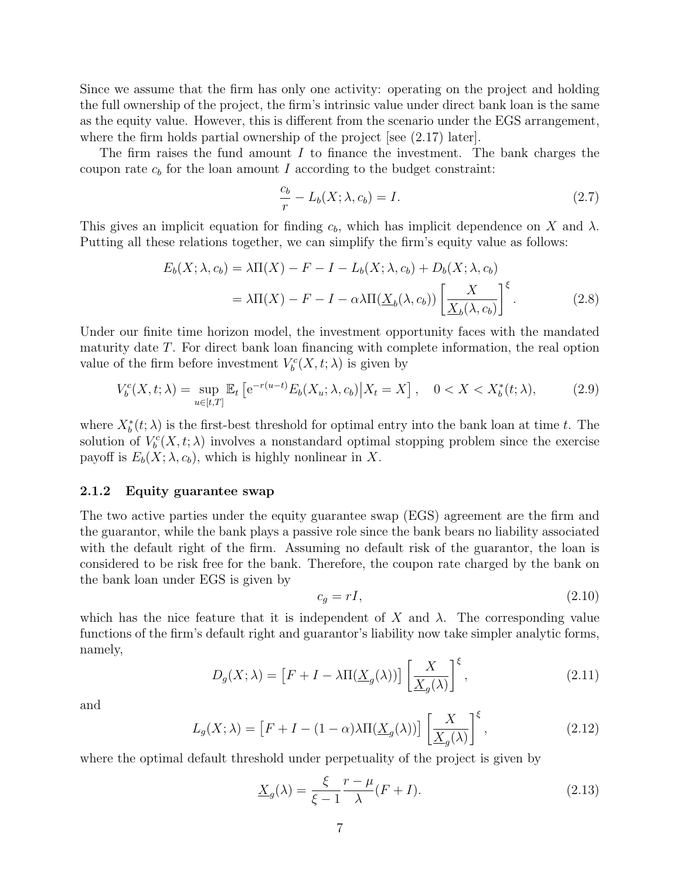Since we assume that the firm has only one activity: operating on the project and holding the full ownership of the project, the firm's intrinsic value under direct bank loan is the same as the equity value. However, this is different from the scenario under the EGS arrangement, where the firm holds partial ownership of the project [see  $(2.17)$  later].

The firm raises the fund amount  $I$  to finance the investment. The bank charges the coupon rate  $c_b$  for the loan amount I according to the budget constraint:

$$
\frac{c_b}{r} - L_b(X; \lambda, c_b) = I. \tag{2.7}
$$

This gives an implicit equation for finding  $c<sub>b</sub>$ , which has implicit dependence on X and  $\lambda$ . Putting all these relations together, we can simplify the firm's equity value as follows:

$$
E_b(X; \lambda, c_b) = \lambda \Pi(X) - F - I - L_b(X; \lambda, c_b) + D_b(X; \lambda, c_b)
$$
  
=  $\lambda \Pi(X) - F - I - \alpha \lambda \Pi(\underline{X}_b(\lambda, c_b)) \left[ \frac{X}{\underline{X}_b(\lambda, c_b)} \right]^{\xi}$ . (2.8)

Under our finite time horizon model, the investment opportunity faces with the mandated maturity date T. For direct bank loan financing with complete information, the real option value of the firm before investment  $V_b^c(X, t; \lambda)$  is given by

$$
V_b^c(X, t; \lambda) = \sup_{u \in [t, T]} \mathbb{E}_t \left[ e^{-r(u-t)} E_b(X_u; \lambda, c_b) \middle| X_t = X \right], \quad 0 < X < X_b^*(t; \lambda), \tag{2.9}
$$

where  $X_b^*(t; \lambda)$  is the first-best threshold for optimal entry into the bank loan at time t. The solution of  $V_b^c(X,t;\lambda)$  involves a nonstandard optimal stopping problem since the exercise payoff is  $E_b(X; \lambda, c_b)$ , which is highly nonlinear in X.

#### 2.1.2 Equity guarantee swap

The two active parties under the equity guarantee swap (EGS) agreement are the firm and the guarantor, while the bank plays a passive role since the bank bears no liability associated with the default right of the firm. Assuming no default risk of the guarantor, the loan is considered to be risk free for the bank. Therefore, the coupon rate charged by the bank on the bank loan under EGS is given by

$$
c_g = rI,\tag{2.10}
$$

which has the nice feature that it is independent of X and  $\lambda$ . The corresponding value functions of the firm's default right and guarantor's liability now take simpler analytic forms, namely,

$$
D_g(X; \lambda) = \left[ F + I - \lambda \Pi(\underline{X}_g(\lambda)) \right] \left[ \underline{X}_g(\lambda) \right]^{\xi}, \tag{2.11}
$$

and

$$
L_g(X; \lambda) = \left[ F + I - (1 - \alpha) \lambda \Pi(\underline{X}_g(\lambda)) \right] \left[ \underline{X}_g(\lambda) \right]^\xi, \tag{2.12}
$$

where the optimal default threshold under perpetuality of the project is given by

$$
\underline{X}_g(\lambda) = \frac{\xi}{\xi - 1} \frac{r - \mu}{\lambda} (F + I). \tag{2.13}
$$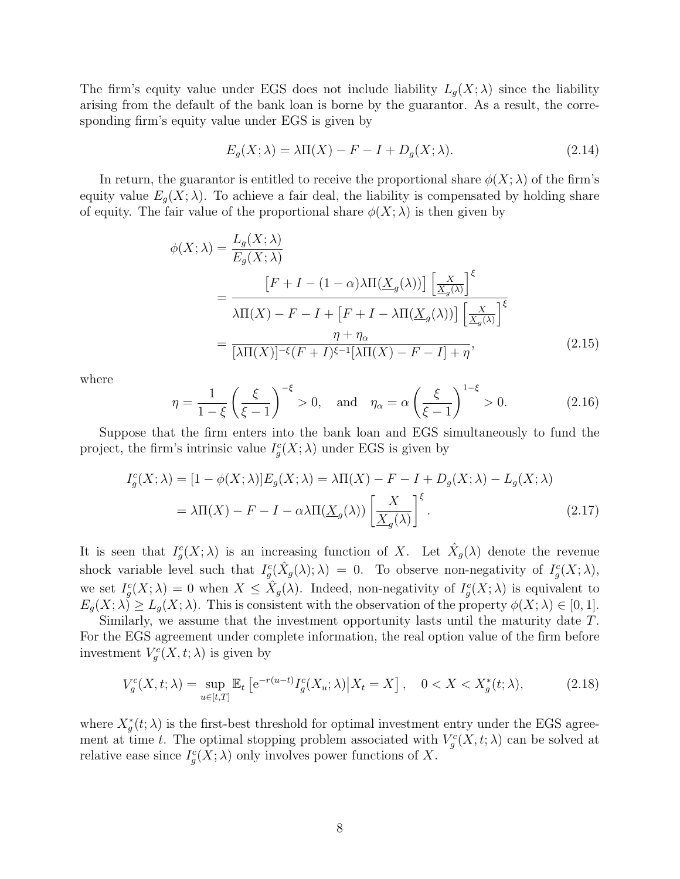The firm's equity value under EGS does not include liability  $L_g(X; \lambda)$  since the liability arising from the default of the bank loan is borne by the guarantor. As a result, the corresponding firm's equity value under EGS is given by

$$
E_g(X; \lambda) = \lambda \Pi(X) - F - I + D_g(X; \lambda).
$$
\n(2.14)

In return, the guarantor is entitled to receive the proportional share  $\phi(X; \lambda)$  of the firm's equity value  $E_g(X; \lambda)$ . To achieve a fair deal, the liability is compensated by holding share of equity. The fair value of the proportional share  $\phi(X;\lambda)$  is then given by

$$
\phi(X;\lambda) = \frac{L_g(X;\lambda)}{E_g(X;\lambda)}
$$
  
= 
$$
\frac{\left[F + I - (1-\alpha)\lambda\Pi(\underline{X}_g(\lambda))\right] \left[\frac{X}{\underline{X}_g(\lambda)}\right]^\xi}{\lambda\Pi(X) - F - I + \left[F + I - \lambda\Pi(\underline{X}_g(\lambda))\right] \left[\frac{X}{\underline{X}_g(\lambda)}\right]^\xi}
$$
  
= 
$$
\frac{\eta + \eta_\alpha}{[\lambda\Pi(X)]^{-\xi}(F+I)^{\xi-1}[\lambda\Pi(X) - F - I] + \eta},
$$
(2.15)

where

$$
\eta = \frac{1}{1-\xi} \left(\frac{\xi}{\xi-1}\right)^{-\xi} > 0, \quad \text{and} \quad \eta_{\alpha} = \alpha \left(\frac{\xi}{\xi-1}\right)^{1-\xi} > 0. \tag{2.16}
$$

Suppose that the firm enters into the bank loan and EGS simultaneously to fund the project, the firm's intrinsic value  $I_g^c(X; \lambda)$  under EGS is given by

$$
I_g^c(X; \lambda) = [1 - \phi(X; \lambda)] E_g(X; \lambda) = \lambda \Pi(X) - F - I + D_g(X; \lambda) - L_g(X; \lambda)
$$
  
=  $\lambda \Pi(X) - F - I - \alpha \lambda \Pi(\underline{X}_g(\lambda)) \left[ \underline{\underline{X}}_g(\lambda) \right]^{\xi}$ . (2.17)

It is seen that  $I_g^c(X; \lambda)$  is an increasing function of X. Let  $\hat{X}_g(\lambda)$  denote the revenue shock variable level such that  $I_g^c(\hat{X}_g(\lambda); \lambda) = 0$ . To observe non-negativity of  $I_g^c(X; \lambda)$ , we set  $I_g^c(X; \lambda) = 0$  when  $X \leq \hat{X}_g(\lambda)$ . Indeed, non-negativity of  $I_g^c(X; \lambda)$  is equivalent to  $E_q(X; \lambda) \ge L_q(X; \lambda)$ . This is consistent with the observation of the property  $\phi(X; \lambda) \in [0, 1]$ .

Similarly, we assume that the investment opportunity lasts until the maturity date T. For the EGS agreement under complete information, the real option value of the firm before investment  $V_g^c(X,t;\lambda)$  is given by

$$
V_g^c(X, t; \lambda) = \sup_{u \in [t, T]} \mathbb{E}_t \left[ e^{-r(u-t)} I_g^c(X_u; \lambda) \middle| X_t = X \right], \quad 0 < X < X_g^*(t; \lambda), \tag{2.18}
$$

where  $X_g^*(t; \lambda)$  is the first-best threshold for optimal investment entry under the EGS agreement at time t. The optimal stopping problem associated with  $V_g^c(X,t;\lambda)$  can be solved at relative ease since  $I_g^c(X; \lambda)$  only involves power functions of X.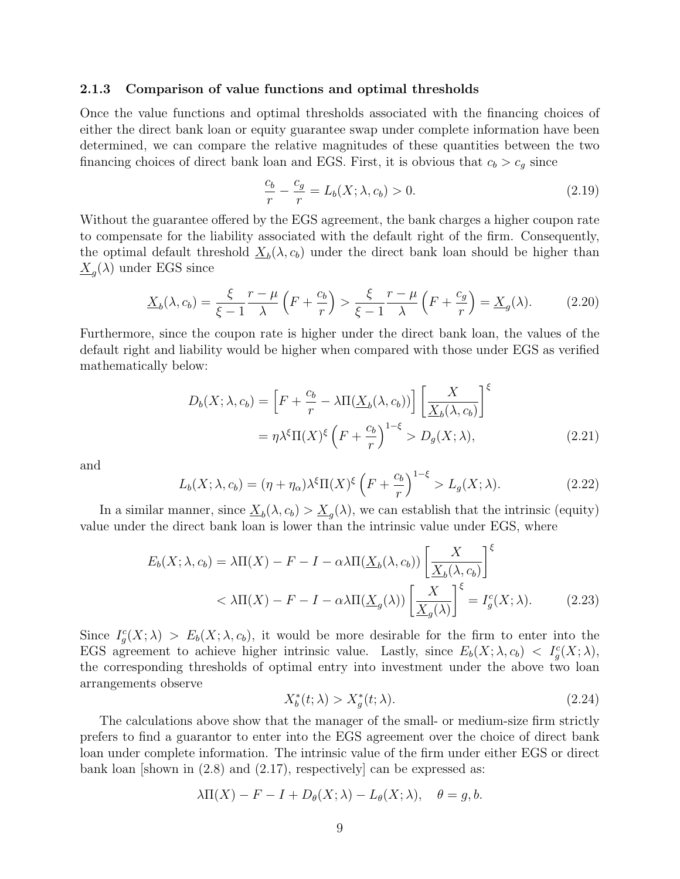#### 2.1.3 Comparison of value functions and optimal thresholds

Once the value functions and optimal thresholds associated with the financing choices of either the direct bank loan or equity guarantee swap under complete information have been determined, we can compare the relative magnitudes of these quantities between the two financing choices of direct bank loan and EGS. First, it is obvious that  $c_b > c_g$  since

$$
\frac{c_b}{r} - \frac{c_g}{r} = L_b(X; \lambda, c_b) > 0.
$$
 (2.19)

Without the guarantee offered by the EGS agreement, the bank charges a higher coupon rate to compensate for the liability associated with the default right of the firm. Consequently, the optimal default threshold  $\underline{X}_b(\lambda, c_b)$  under the direct bank loan should be higher than  $\underline{X}_g(\lambda)$  under EGS since

$$
\underline{X}_b(\lambda, c_b) = \frac{\xi}{\xi - 1} \frac{r - \mu}{\lambda} \left( F + \frac{c_b}{r} \right) > \frac{\xi}{\xi - 1} \frac{r - \mu}{\lambda} \left( F + \frac{c_g}{r} \right) = \underline{X}_g(\lambda). \tag{2.20}
$$

Furthermore, since the coupon rate is higher under the direct bank loan, the values of the default right and liability would be higher when compared with those under EGS as verified mathematically below:

$$
D_b(X; \lambda, c_b) = \left[ F + \frac{c_b}{r} - \lambda \Pi(\underline{X}_b(\lambda, c_b)) \right] \left[ \frac{X}{\underline{X}_b(\lambda, c_b)} \right]^{\xi}
$$

$$
= \eta \lambda^{\xi} \Pi(X)^{\xi} \left( F + \frac{c_b}{r} \right)^{1 - \xi} > D_g(X; \lambda), \tag{2.21}
$$

and

$$
L_b(X; \lambda, c_b) = (\eta + \eta_\alpha) \lambda^\xi \Pi(X)^\xi \left( F + \frac{c_b}{r} \right)^{1-\xi} > L_g(X; \lambda).
$$
 (2.22)

In a similar manner, since  $\underline{X}_b(\lambda, c_b) > \underline{X}_g(\lambda)$ , we can establish that the intrinsic (equity) value under the direct bank loan is lower than the intrinsic value under EGS, where

$$
E_b(X; \lambda, c_b) = \lambda \Pi(X) - F - I - \alpha \lambda \Pi(\underline{X}_b(\lambda, c_b)) \left[ \frac{X}{\underline{X}_b(\lambda, c_b)} \right]^{\xi}
$$
  

$$
< \lambda \Pi(X) - F - I - \alpha \lambda \Pi(\underline{X}_g(\lambda)) \left[ \frac{X}{\underline{X}_g(\lambda)} \right]^{\xi} = I_g^c(X; \lambda).
$$
 (2.23)

Since  $I_g^c(X; \lambda) > E_b(X; \lambda, c_b)$ , it would be more desirable for the firm to enter into the EGS agreement to achieve higher intrinsic value. Lastly, since  $E_b(X; \lambda, c_b) < I_g^c(X; \lambda)$ , the corresponding thresholds of optimal entry into investment under the above two loan arrangements observe

$$
X_b^*(t; \lambda) > X_g^*(t; \lambda). \tag{2.24}
$$

The calculations above show that the manager of the small- or medium-size firm strictly prefers to find a guarantor to enter into the EGS agreement over the choice of direct bank loan under complete information. The intrinsic value of the firm under either EGS or direct bank loan [shown in  $(2.8)$  and  $(2.17)$ , respectively] can be expressed as:

$$
\lambda \Pi(X) - F - I + D_{\theta}(X; \lambda) - L_{\theta}(X; \lambda), \quad \theta = g, b.
$$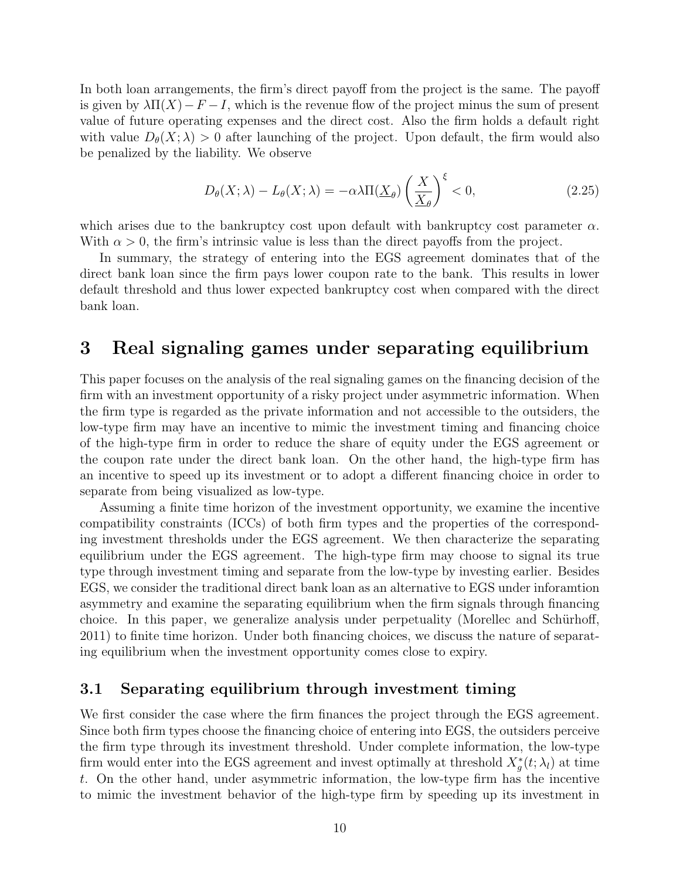In both loan arrangements, the firm's direct payoff from the project is the same. The payoff is given by  $\lambda \Pi(X) - F - I$ , which is the revenue flow of the project minus the sum of present value of future operating expenses and the direct cost. Also the firm holds a default right with value  $D_{\theta}(X; \lambda) > 0$  after launching of the project. Upon default, the firm would also be penalized by the liability. We observe

$$
D_{\theta}(X;\lambda) - L_{\theta}(X;\lambda) = -\alpha \lambda \Pi(\underline{X}_{\theta}) \left(\frac{X}{\underline{X}_{\theta}}\right)^{\xi} < 0,\tag{2.25}
$$

which arises due to the bankruptcy cost upon default with bankruptcy cost parameter  $\alpha$ . With  $\alpha > 0$ , the firm's intrinsic value is less than the direct payoffs from the project.

In summary, the strategy of entering into the EGS agreement dominates that of the direct bank loan since the firm pays lower coupon rate to the bank. This results in lower default threshold and thus lower expected bankruptcy cost when compared with the direct bank loan.

## 3 Real signaling games under separating equilibrium

This paper focuses on the analysis of the real signaling games on the financing decision of the firm with an investment opportunity of a risky project under asymmetric information. When the firm type is regarded as the private information and not accessible to the outsiders, the low-type firm may have an incentive to mimic the investment timing and financing choice of the high-type firm in order to reduce the share of equity under the EGS agreement or the coupon rate under the direct bank loan. On the other hand, the high-type firm has an incentive to speed up its investment or to adopt a different financing choice in order to separate from being visualized as low-type.

Assuming a finite time horizon of the investment opportunity, we examine the incentive compatibility constraints (ICCs) of both firm types and the properties of the corresponding investment thresholds under the EGS agreement. We then characterize the separating equilibrium under the EGS agreement. The high-type firm may choose to signal its true type through investment timing and separate from the low-type by investing earlier. Besides EGS, we consider the traditional direct bank loan as an alternative to EGS under inforamtion asymmetry and examine the separating equilibrium when the firm signals through financing choice. In this paper, we generalize analysis under perpetuality (Morellec and Schürhoff, 2011) to finite time horizon. Under both financing choices, we discuss the nature of separating equilibrium when the investment opportunity comes close to expiry.

### 3.1 Separating equilibrium through investment timing

We first consider the case where the firm finances the project through the EGS agreement. Since both firm types choose the financing choice of entering into EGS, the outsiders perceive the firm type through its investment threshold. Under complete information, the low-type firm would enter into the EGS agreement and invest optimally at threshold  $X_g^*(t; \lambda_l)$  at time t. On the other hand, under asymmetric information, the low-type firm has the incentive to mimic the investment behavior of the high-type firm by speeding up its investment in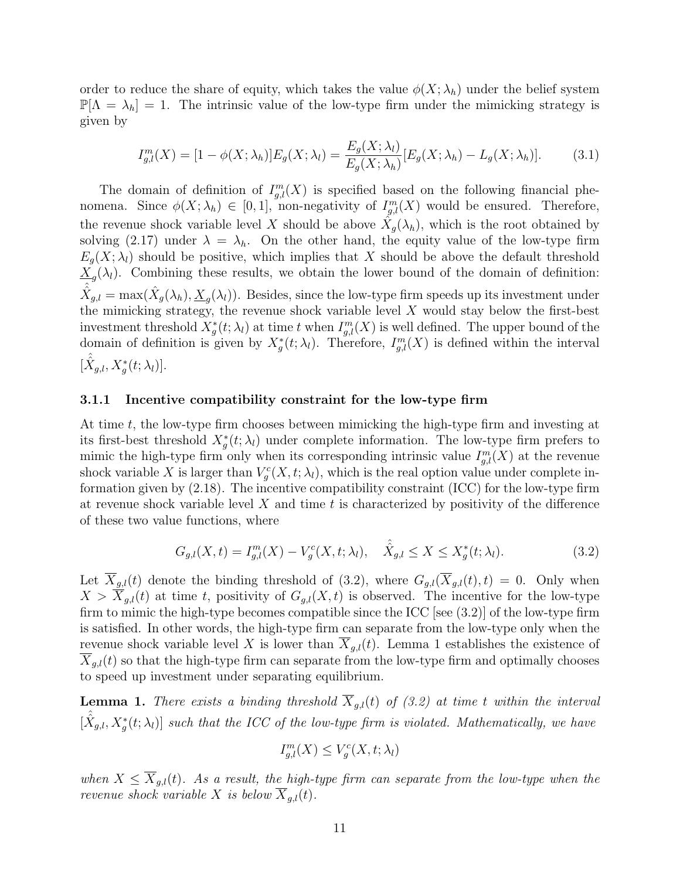order to reduce the share of equity, which takes the value  $\phi(X; \lambda_h)$  under the belief system  $\mathbb{P}[\Lambda = \lambda_h] = 1$ . The intrinsic value of the low-type firm under the mimicking strategy is given by

$$
I_{g,l}^m(X) = [1 - \phi(X; \lambda_h)]E_g(X; \lambda_l) = \frac{E_g(X; \lambda_l)}{E_g(X; \lambda_h)}[E_g(X; \lambda_h) - L_g(X; \lambda_h)].
$$
 (3.1)

The domain of definition of  $I_{g,l}^m(X)$  is specified based on the following financial phenomena. Since  $\phi(X; \lambda_h) \in [0, 1]$ , non-negativity of  $I_{g,l}^m(X)$  would be ensured. Therefore, the revenue shock variable level X should be above  $\hat{X}_g(\lambda_h)$ , which is the root obtained by solving (2.17) under  $\lambda = \lambda_h$ . On the other hand, the equity value of the low-type firm  $E_q(X; \lambda_l)$  should be positive, which implies that X should be above the default threshold  $\underline{X}_{g}(\lambda_l)$ . Combining these results, we obtain the lower bound of the domain of definition:  $\hat{\hat{X}}_{g,l} = \max(\hat{X}_g(\lambda_h), \underline{X}_g(\lambda_l)).$  Besides, since the low-type firm speeds up its investment under the mimicking strategy, the revenue shock variable level  $X$  would stay below the first-best investment threshold  $X^*_{g}(t; \lambda_l)$  at time t when  $I^m_{g,l}(X)$  is well defined. The upper bound of the domain of definition is given by  $X_g^*(t; \lambda_l)$ . Therefore,  $I_{g,l}^m(X)$  is defined within the interval  $[\hat{\hat{X}}_{g,l}, X_g^*(t; \lambda_l)].$ 

#### 3.1.1 Incentive compatibility constraint for the low-type firm

At time t, the low-type firm chooses between mimicking the high-type firm and investing at its first-best threshold  $X_g^*(t; \lambda_l)$  under complete information. The low-type firm prefers to mimic the high-type firm only when its corresponding intrinsic value  $I_{g,l}^m(X)$  at the revenue shock variable X is larger than  $V_g^c(X, t; \lambda_l)$ , which is the real option value under complete information given by (2.18). The incentive compatibility constraint (ICC) for the low-type firm at revenue shock variable level  $X$  and time  $t$  is characterized by positivity of the difference of these two value functions, where

$$
G_{g,l}(X,t) = I_{g,l}^{m}(X) - V_g^{c}(X,t;\lambda_l), \quad \hat{X}_{g,l} \le X \le X_g^{*}(t;\lambda_l). \tag{3.2}
$$

Let  $X_{g,l}(t)$  denote the binding threshold of (3.2), where  $G_{g,l}(X_{g,l}(t), t) = 0$ . Only when  $X > X_{g,l}(t)$  at time t, positivity of  $G_{g,l}(X,t)$  is observed. The incentive for the low-type firm to mimic the high-type becomes compatible since the ICC [see  $(3.2)$ ] of the low-type firm is satisfied. In other words, the high-type firm can separate from the low-type only when the revenue shock variable level X is lower than  $\overline{X}_{g,l}(t)$ . Lemma 1 establishes the existence of  $X_{q,l}(t)$  so that the high-type firm can separate from the low-type firm and optimally chooses to speed up investment under separating equilibrium.

**Lemma 1.** There exists a binding threshold  $\overline{X}_{g,l}(t)$  of (3.2) at time t within the interval  $[\hat{\hat{X}}_{g,l}, X_g^*(t; \lambda_l)]$  such that the ICC of the low-type firm is violated. Mathematically, we have

$$
I_{g,l}^m(X) \le V_g^c(X, t; \lambda_l)
$$

when  $X \n\t\leq \n\t\overline{X}_{g,l}(t)$ . As a result, the high-type firm can separate from the low-type when the revenue shock variable X is below  $\overline{X}_{q,l}(t)$ .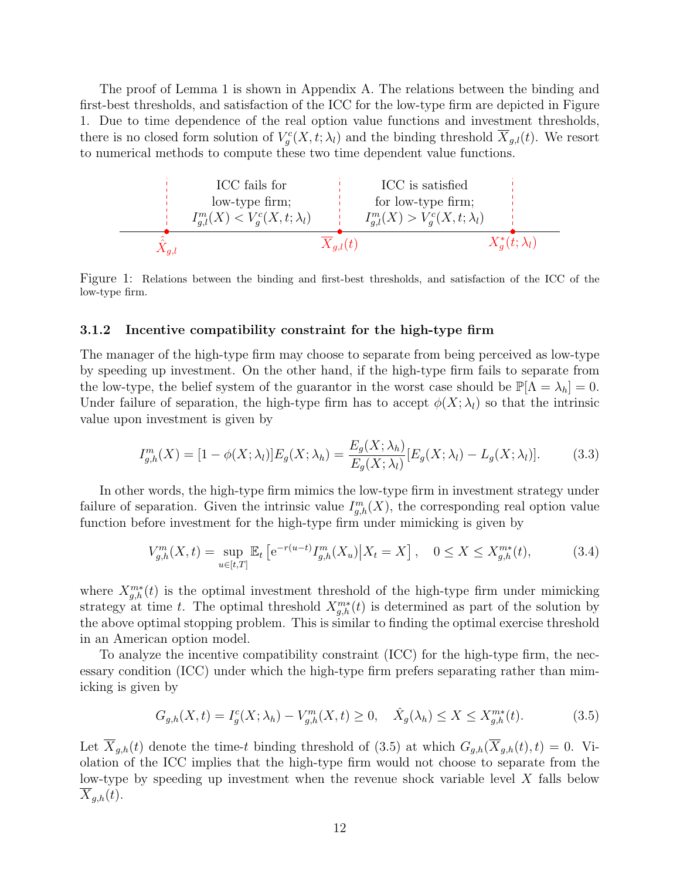The proof of Lemma 1 is shown in Appendix A. The relations between the binding and first-best thresholds, and satisfaction of the ICC for the low-type firm are depicted in Figure 1. Due to time dependence of the real option value functions and investment thresholds, there is no closed form solution of  $V_g^c(X,t;\lambda_l)$  and the binding threshold  $\overline{X}_{g,l}(t)$ . We resort to numerical methods to compute these two time dependent value functions.



Figure 1: Relations between the binding and first-best thresholds, and satisfaction of the ICC of the low-type firm.

#### 3.1.2 Incentive compatibility constraint for the high-type firm

The manager of the high-type firm may choose to separate from being perceived as low-type by speeding up investment. On the other hand, if the high-type firm fails to separate from the low-type, the belief system of the guarantor in the worst case should be  $\mathbb{P}[\Lambda = \lambda_h] = 0$ . Under failure of separation, the high-type firm has to accept  $\phi(X; \lambda)$  so that the intrinsic value upon investment is given by

$$
I_{g,h}^m(X) = [1 - \phi(X; \lambda_l)] E_g(X; \lambda_h) = \frac{E_g(X; \lambda_h)}{E_g(X; \lambda_l)} [E_g(X; \lambda_l) - L_g(X; \lambda_l)].
$$
\n(3.3)

In other words, the high-type firm mimics the low-type firm in investment strategy under failure of separation. Given the intrinsic value  $I_{g,h}^m(X)$ , the corresponding real option value function before investment for the high-type firm under mimicking is given by

$$
V_{g,h}^{m}(X,t) = \sup_{u \in [t,T]} \mathbb{E}_t \left[ e^{-r(u-t)} I_{g,h}^{m}(X_u) \middle| X_t = X \right], \quad 0 \le X \le X_{g,h}^{m*}(t), \tag{3.4}
$$

where  $X_{g,h}^{m*}(t)$  is the optimal investment threshold of the high-type firm under mimicking strategy at time t. The optimal threshold  $X_{g,h}^{m*}(t)$  is determined as part of the solution by the above optimal stopping problem. This is similar to finding the optimal exercise threshold in an American option model.

To analyze the incentive compatibility constraint (ICC) for the high-type firm, the necessary condition (ICC) under which the high-type firm prefers separating rather than mimicking is given by

$$
G_{g,h}(X,t) = I_g^c(X; \lambda_h) - V_{g,h}^m(X,t) \ge 0, \quad \hat{X}_g(\lambda_h) \le X \le X_{g,h}^{m*}(t). \tag{3.5}
$$

Let  $\overline{X}_{g,h}(t)$  denote the time-t binding threshold of (3.5) at which  $G_{g,h}(\overline{X}_{g,h}(t), t) = 0$ . Violation of the ICC implies that the high-type firm would not choose to separate from the low-type by speeding up investment when the revenue shock variable level X falls below  $X_{q,h}(t)$ .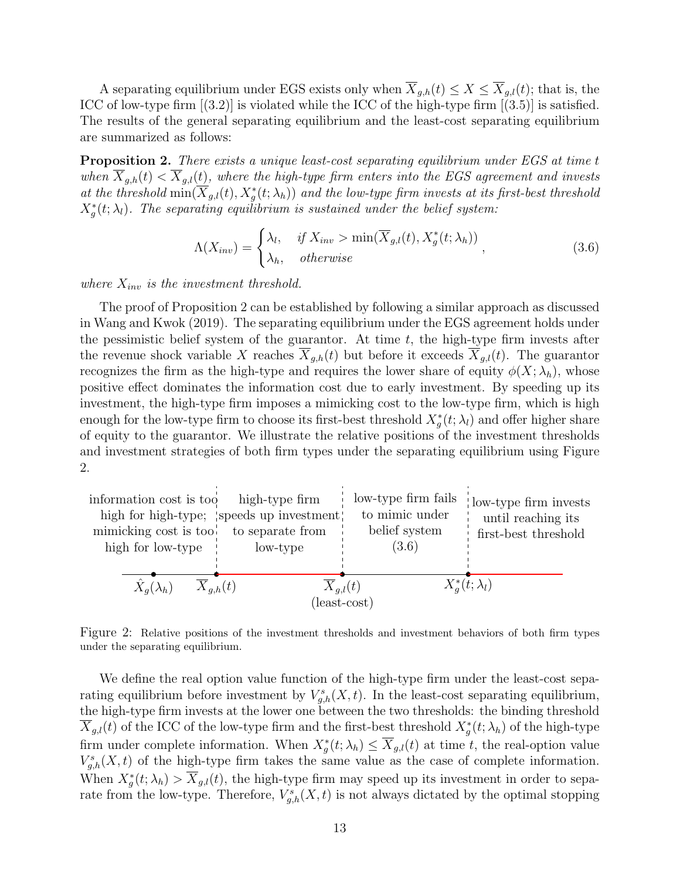A separating equilibrium under EGS exists only when  $\overline{X}_{g,h}(t) \leq X \leq \overline{X}_{g,l}(t)$ ; that is, the ICC of low-type firm  $[(3.2)]$  is violated while the ICC of the high-type firm  $[(3.5)]$  is satisfied. The results of the general separating equilibrium and the least-cost separating equilibrium are summarized as follows:

**Proposition 2.** There exists a unique least-cost separating equilibrium under EGS at time t when  $\overline{X}_{g,h}(t) < \overline{X}_{g,l}(t)$ , where the high-type firm enters into the EGS agreement and invests at the threshold  $\min(\overline{X}_{g,l}(t), X_g^*(t; \lambda_h))$  and the low-type firm invests at its first-best threshold  $X^*_g(t; \lambda_l)$ . The separating equilibrium is sustained under the belief system:

$$
\Lambda(X_{inv}) = \begin{cases} \lambda_l, & \text{if } X_{inv} > \min(\overline{X}_{g,l}(t), X_g^*(t; \lambda_h)) \\ \lambda_h, & \text{otherwise} \end{cases}
$$
\n(3.6)

where  $X_{inv}$  is the investment threshold.

The proof of Proposition 2 can be established by following a similar approach as discussed in Wang and Kwok (2019). The separating equilibrium under the EGS agreement holds under the pessimistic belief system of the guarantor. At time  $t$ , the high-type firm invests after the revenue shock variable X reaches  $\overline{X}_{g,h}(t)$  but before it exceeds  $\overline{X}_{g,l}(t)$ . The guarantor recognizes the firm as the high-type and requires the lower share of equity  $\phi(X; \lambda_h)$ , whose positive effect dominates the information cost due to early investment. By speeding up its investment, the high-type firm imposes a mimicking cost to the low-type firm, which is high enough for the low-type firm to choose its first-best threshold  $X_g^*(t; \lambda_l)$  and offer higher share of equity to the guarantor. We illustrate the relative positions of the investment thresholds and investment strategies of both firm types under the separating equilibrium using Figure 2.



Figure 2: Relative positions of the investment thresholds and investment behaviors of both firm types under the separating equilibrium.

We define the real option value function of the high-type firm under the least-cost separating equilibrium before investment by  $V_{g,h}^s(X,t)$ . In the least-cost separating equilibrium, the high-type firm invests at the lower one between the two thresholds: the binding threshold  $\overline{X}_{g,l}(t)$  of the ICC of the low-type firm and the first-best threshold  $X_g^*(t; \lambda_h)$  of the high-type firm under complete information. When  $X_g^*(t; \lambda_h) \leq \overline{X}_{g,l}(t)$  at time t, the real-option value  $V_{g,h}^s(X,t)$  of the high-type firm takes the same value as the case of complete information. When  $X_g^*(t; \lambda_h) > \overline{X}_{g,l}(t)$ , the high-type firm may speed up its investment in order to separate from the low-type. Therefore,  $V_{g,h}^s(X,t)$  is not always dictated by the optimal stopping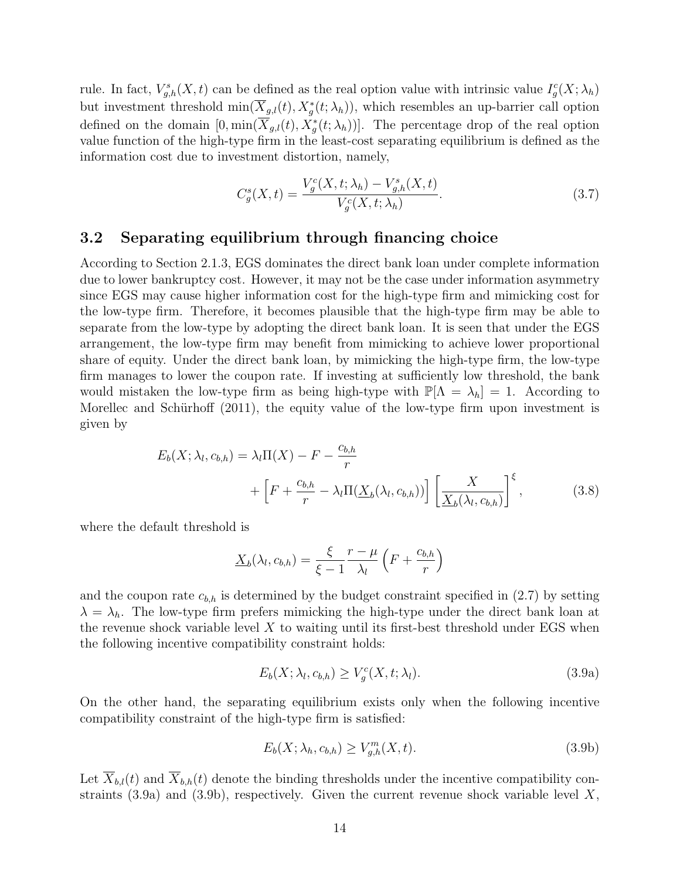rule. In fact,  $V_{g,h}^s(X,t)$  can be defined as the real option value with intrinsic value  $I_g^c(X; \lambda_h)$ but investment threshold  $\min(\overline{X}_{g,l}(t), X_g^*(t; \lambda_h)),$  which resembles an up-barrier call option defined on the domain  $[0, \min(\overline{X}_{g,l}(t), X_g^*(t; \lambda_h))]$ . The percentage drop of the real option value function of the high-type firm in the least-cost separating equilibrium is defined as the information cost due to investment distortion, namely,

$$
C_g^s(X,t) = \frac{V_g^c(X,t; \lambda_h) - V_{g,h}^s(X,t)}{V_g^c(X,t; \lambda_h)}.
$$
\n(3.7)

### 3.2 Separating equilibrium through financing choice

According to Section 2.1.3, EGS dominates the direct bank loan under complete information due to lower bankruptcy cost. However, it may not be the case under information asymmetry since EGS may cause higher information cost for the high-type firm and mimicking cost for the low-type firm. Therefore, it becomes plausible that the high-type firm may be able to separate from the low-type by adopting the direct bank loan. It is seen that under the EGS arrangement, the low-type firm may benefit from mimicking to achieve lower proportional share of equity. Under the direct bank loan, by mimicking the high-type firm, the low-type firm manages to lower the coupon rate. If investing at sufficiently low threshold, the bank would mistaken the low-type firm as being high-type with  $\mathbb{P}[\Lambda = \lambda_h] = 1$ . According to Morellec and Schürhoff (2011), the equity value of the low-type firm upon investment is given by

$$
E_b(X; \lambda_l, c_{b,h}) = \lambda_l \Pi(X) - F - \frac{c_{b,h}}{r}
$$
  
+ 
$$
\left[ F + \frac{c_{b,h}}{r} - \lambda_l \Pi(\underline{X}_b(\lambda_l, c_{b,h})) \right] \left[ \frac{X}{\underline{X}_b(\lambda_l, c_{b,h})} \right]^{\xi}, \tag{3.8}
$$

where the default threshold is

$$
\underline{X}_b(\lambda_l, c_{b,h}) = \frac{\xi}{\xi - 1} \frac{r - \mu}{\lambda_l} \left( F + \frac{c_{b,h}}{r} \right)
$$

and the coupon rate  $c_{b,h}$  is determined by the budget constraint specified in (2.7) by setting  $\lambda = \lambda_h$ . The low-type firm prefers mimicking the high-type under the direct bank loan at the revenue shock variable level  $X$  to waiting until its first-best threshold under EGS when the following incentive compatibility constraint holds:

$$
E_b(X; \lambda_l, c_{b,h}) \ge V_g^c(X, t; \lambda_l). \tag{3.9a}
$$

On the other hand, the separating equilibrium exists only when the following incentive compatibility constraint of the high-type firm is satisfied:

$$
E_b(X; \lambda_h, c_{b,h}) \ge V_{g,h}^m(X, t). \tag{3.9b}
$$

Let  $\overline{X}_{b,l}(t)$  and  $\overline{X}_{b,h}(t)$  denote the binding thresholds under the incentive compatibility constraints  $(3.9a)$  and  $(3.9b)$ , respectively. Given the current revenue shock variable level X,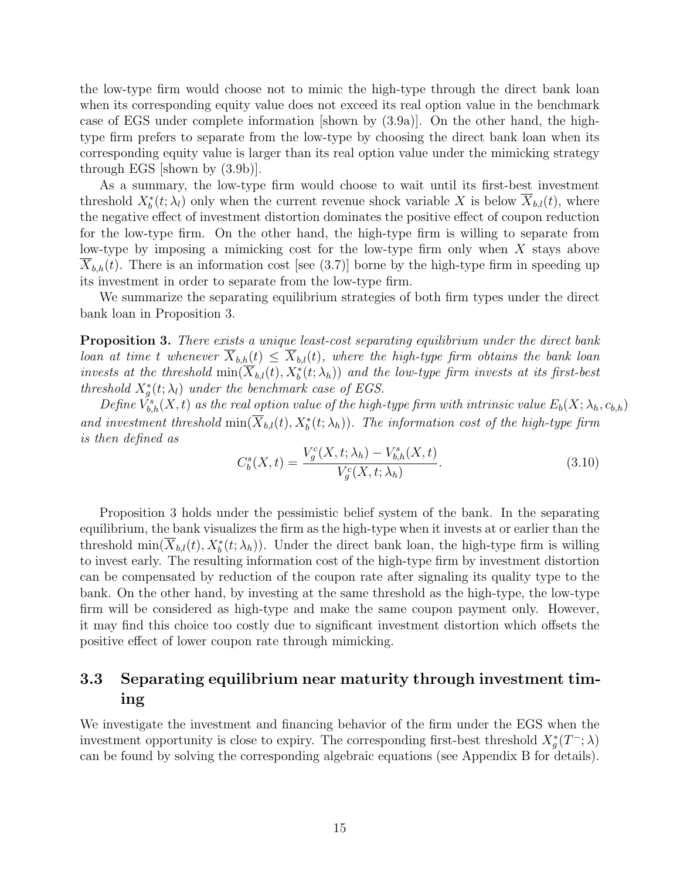the low-type firm would choose not to mimic the high-type through the direct bank loan when its corresponding equity value does not exceed its real option value in the benchmark case of EGS under complete information [shown by (3.9a)]. On the other hand, the hightype firm prefers to separate from the low-type by choosing the direct bank loan when its corresponding equity value is larger than its real option value under the mimicking strategy through EGS [shown by (3.9b)].

As a summary, the low-type firm would choose to wait until its first-best investment threshold  $X^*_b(t; \lambda_l)$  only when the current revenue shock variable X is below  $\overline{X}_{b,l}(t)$ , where the negative effect of investment distortion dominates the positive effect of coupon reduction for the low-type firm. On the other hand, the high-type firm is willing to separate from low-type by imposing a mimicking cost for the low-type firm only when X stays above  $X_{b,h}(t)$ . There is an information cost [see (3.7)] borne by the high-type firm in speeding up its investment in order to separate from the low-type firm.

We summarize the separating equilibrium strategies of both firm types under the direct bank loan in Proposition 3.

**Proposition 3.** There exists a unique least-cost separating equilibrium under the direct bank loan at time t whenever  $\overline{X}_{b,h}(t) \leq \overline{X}_{b,l}(t)$ , where the high-type firm obtains the bank loan invests at the threshold  $\min(\overline{X}_{b,l}(t), X^*_b(t; \lambda_h))$  and the low-type firm invests at its first-best threshold  $X_g^*(t; \lambda_l)$  under the benchmark case of EGS.

Define  $\check{V}_{b,h}^s(X,t)$  as the real option value of the high-type firm with intrinsic value  $E_b(X; \lambda_h, c_{b,h})$ and investment threshold  $\min(\overline{X}_{b,l}(t), X^*_b(t; \lambda_h))$ . The information cost of the high-type firm is then defined as

$$
C_b^s(X,t) = \frac{V_g^c(X,t; \lambda_h) - V_{b,h}^s(X,t)}{V_g^c(X,t; \lambda_h)}.
$$
\n(3.10)

Proposition 3 holds under the pessimistic belief system of the bank. In the separating equilibrium, the bank visualizes the firm as the high-type when it invests at or earlier than the threshold  $\min(\overline{X}_{b,l}(t), X^*_b(t; \lambda_h))$ . Under the direct bank loan, the high-type firm is willing to invest early. The resulting information cost of the high-type firm by investment distortion can be compensated by reduction of the coupon rate after signaling its quality type to the bank. On the other hand, by investing at the same threshold as the high-type, the low-type firm will be considered as high-type and make the same coupon payment only. However, it may find this choice too costly due to significant investment distortion which offsets the positive effect of lower coupon rate through mimicking.

### 3.3 Separating equilibrium near maturity through investment timing

We investigate the investment and financing behavior of the firm under the EGS when the investment opportunity is close to expiry. The corresponding first-best threshold  $X_g^*(T^-; \lambda)$ can be found by solving the corresponding algebraic equations (see Appendix B for details).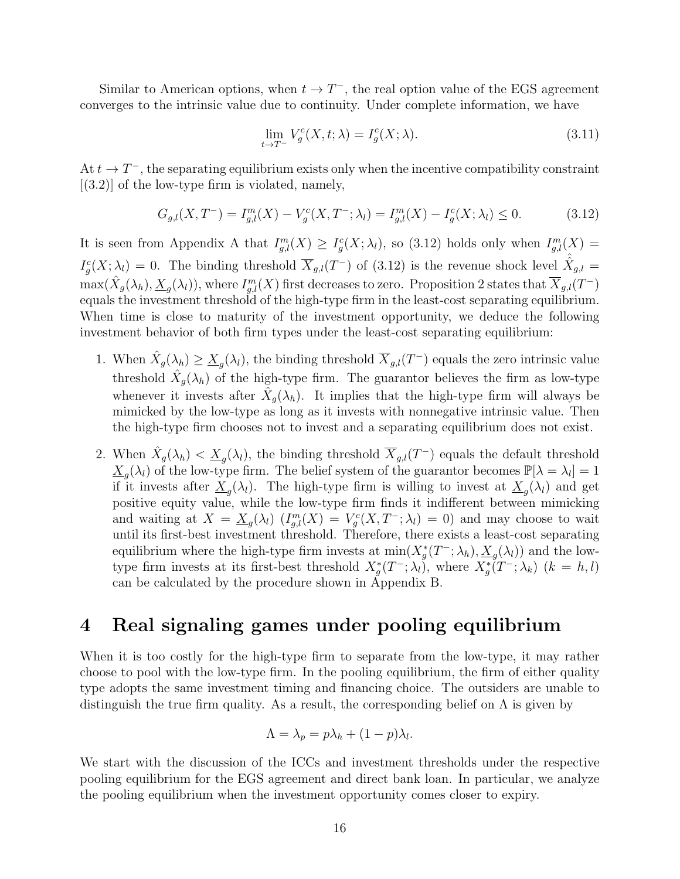Similar to American options, when  $t \to T^-$ , the real option value of the EGS agreement converges to the intrinsic value due to continuity. Under complete information, we have

$$
\lim_{t \to T^{-}} V_g^c(X, t; \lambda) = I_g^c(X; \lambda).
$$
\n(3.11)

At  $t \to T^-$ , the separating equilibrium exists only when the incentive compatibility constraint  $[(3.2)]$  of the low-type firm is violated, namely,

$$
G_{g,l}(X,T^{-}) = I_{g,l}^{m}(X) - V_g^{c}(X,T^{-};\lambda_l) = I_{g,l}^{m}(X) - I_g^{c}(X;\lambda_l) \leq 0.
$$
 (3.12)

It is seen from Appendix A that  $I_{g,l}^m(X) \geq I_g^c(X; \lambda_l)$ , so (3.12) holds only when  $I_{g,l}^m(X)$  =  $I_g^c(X; \lambda_l) = 0$ . The binding threshold  $\overline{X}_{g,l}(T^-)$  of (3.12) is the revenue shock level  $\hat{X}_{g,l} =$  $\max(\hat{X}_g(\lambda_h), \underline{X}_g(\lambda_l))$ , where  $I_{g,l}^m(X)$  first decreases to zero. Proposition 2 states that  $\overline{X}_{g,l}(T^-)$ equals the investment threshold of the high-type firm in the least-cost separating equilibrium. When time is close to maturity of the investment opportunity, we deduce the following investment behavior of both firm types under the least-cost separating equilibrium:

- 1. When  $\hat{X}_g(\lambda_h) \geq \underline{X}_g(\lambda_l)$ , the binding threshold  $\overline{X}_{g,l}(T^-)$  equals the zero intrinsic value threshold  $\hat{X}_g(\lambda_h)$  of the high-type firm. The guarantor believes the firm as low-type whenever it invests after  $\hat{X}_g(\lambda_h)$ . It implies that the high-type firm will always be mimicked by the low-type as long as it invests with nonnegative intrinsic value. Then the high-type firm chooses not to invest and a separating equilibrium does not exist.
- 2. When  $\hat{X}_g(\lambda_h) < \underline{X}_g(\lambda_l)$ , the binding threshold  $\overline{X}_{g,l}(T^-)$  equals the default threshold  $\underline{X}_g(\lambda_l)$  of the low-type firm. The belief system of the guarantor becomes  $\mathbb{P}[\lambda = \lambda_l] = 1$ if it invests after  $\underline{X}_g(\lambda_l)$ . The high-type firm is willing to invest at  $\underline{X}_g(\lambda_l)$  and get positive equity value, while the low-type firm finds it indifferent between mimicking and waiting at  $X = \underline{X}_g(\lambda_l)$   $(I_{g,l}^m(X) = V_g^c(X, T^{-}; \lambda_l) = 0)$  and may choose to wait until its first-best investment threshold. Therefore, there exists a least-cost separating equilibrium where the high-type firm invests at  $\min(X_g^*(T^-; \lambda_h), \underline{X}_g(\lambda_l))$  and the lowtype firm invests at its first-best threshold  $X_g^*(T^-; \lambda_l)$ , where  $X_g^*(T^-; \lambda_k)$   $(k = h, l)$ can be calculated by the procedure shown in Appendix B.

### 4 Real signaling games under pooling equilibrium

When it is too costly for the high-type firm to separate from the low-type, it may rather choose to pool with the low-type firm. In the pooling equilibrium, the firm of either quality type adopts the same investment timing and financing choice. The outsiders are unable to distinguish the true firm quality. As a result, the corresponding belief on  $\Lambda$  is given by

$$
\Lambda = \lambda_p = p\lambda_h + (1 - p)\lambda_l.
$$

We start with the discussion of the ICCs and investment thresholds under the respective pooling equilibrium for the EGS agreement and direct bank loan. In particular, we analyze the pooling equilibrium when the investment opportunity comes closer to expiry.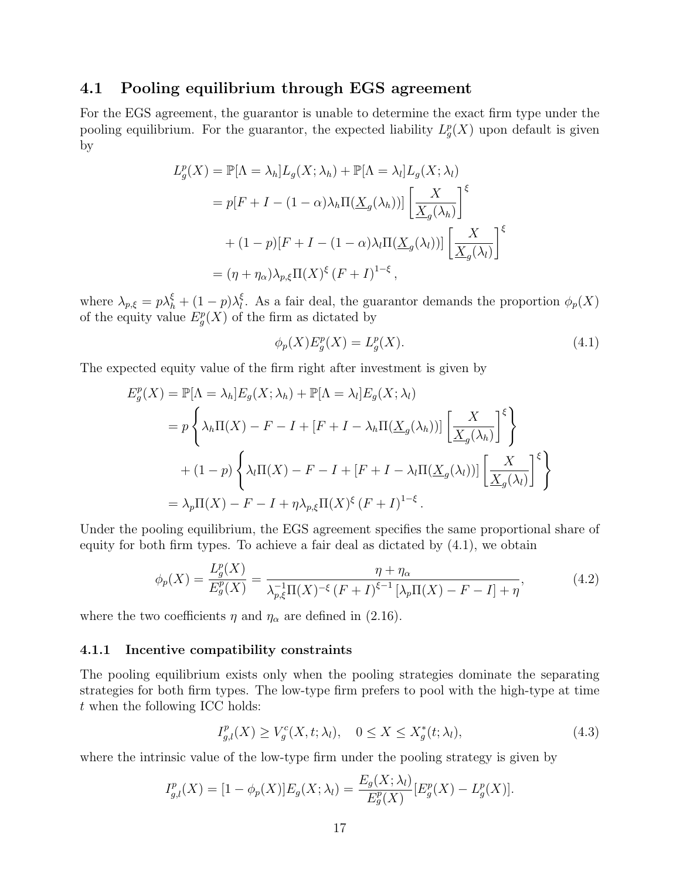### 4.1 Pooling equilibrium through EGS agreement

For the EGS agreement, the guarantor is unable to determine the exact firm type under the pooling equilibrium. For the guarantor, the expected liability  $L_g^p(X)$  upon default is given by

$$
L_g^p(X) = \mathbb{P}[\Lambda = \lambda_h] L_g(X; \lambda_h) + \mathbb{P}[\Lambda = \lambda_l] L_g(X; \lambda_l)
$$
  
=  $p[F + I - (1 - \alpha)\lambda_h \Pi(\underline{X}_g(\lambda_h))] \left[\frac{X}{\underline{X}_g(\lambda_h)}\right]^{\xi}$   
+  $(1 - p)[F + I - (1 - \alpha)\lambda_l \Pi(\underline{X}_g(\lambda_l))] \left[\frac{X}{\underline{X}_g(\lambda_l)}\right]^{\xi}$   
=  $(\eta + \eta_\alpha)\lambda_{p,\xi} \Pi(X)^{\xi} (F + I)^{1-\xi}$ ,

where  $\lambda_{p,\xi} = p\lambda_h^{\xi} + (1-p)\lambda_l^{\xi}$  $\mathcal{E}_l^{\xi}$ . As a fair deal, the guarantor demands the proportion  $\phi_p(X)$ of the equity value  $E_g^p(X)$  of the firm as dictated by

$$
\phi_p(X)E_g^p(X) = L_g^p(X). \tag{4.1}
$$

The expected equity value of the firm right after investment is given by

$$
E_g^p(X) = \mathbb{P}[\Lambda = \lambda_h] E_g(X; \lambda_h) + \mathbb{P}[\Lambda = \lambda_l] E_g(X; \lambda_l)
$$
  
=  $p \left\{ \lambda_h \Pi(X) - F - I + [F + I - \lambda_h \Pi(\underline{X}_g(\lambda_h))] \left[ \frac{X}{\underline{X}_g(\lambda_h)} \right]^{\xi} \right\}$   
+  $(1 - p) \left\{ \lambda_l \Pi(X) - F - I + [F + I - \lambda_l \Pi(\underline{X}_g(\lambda_l))] \left[ \frac{X}{\underline{X}_g(\lambda_l)} \right]^{\xi} \right\}$   
=  $\lambda_p \Pi(X) - F - I + \eta \lambda_{p,\xi} \Pi(X)^{\xi} (F + I)^{1-\xi}.$ 

Under the pooling equilibrium, the EGS agreement specifies the same proportional share of equity for both firm types. To achieve a fair deal as dictated by (4.1), we obtain

$$
\phi_p(X) = \frac{L_g^p(X)}{E_g^p(X)} = \frac{\eta + \eta_\alpha}{\lambda_{p,\xi}^{-1} \Pi(X)^{-\xi} \left(F + I\right)^{\xi - 1} \left[\lambda_p \Pi(X) - F - I\right] + \eta'},\tag{4.2}
$$

where the two coefficients  $\eta$  and  $\eta_{\alpha}$  are defined in (2.16).

#### 4.1.1 Incentive compatibility constraints

The pooling equilibrium exists only when the pooling strategies dominate the separating strategies for both firm types. The low-type firm prefers to pool with the high-type at time t when the following ICC holds:

$$
I_{g,l}^p(X) \ge V_g^c(X, t; \lambda_l), \quad 0 \le X \le X_g^*(t; \lambda_l), \tag{4.3}
$$

where the intrinsic value of the low-type firm under the pooling strategy is given by

$$
I_{g,l}^p(X) = [1 - \phi_p(X)]E_g(X; \lambda_l) = \frac{E_g(X; \lambda_l)}{E_g^p(X)}[E_g^p(X) - L_g^p(X)].
$$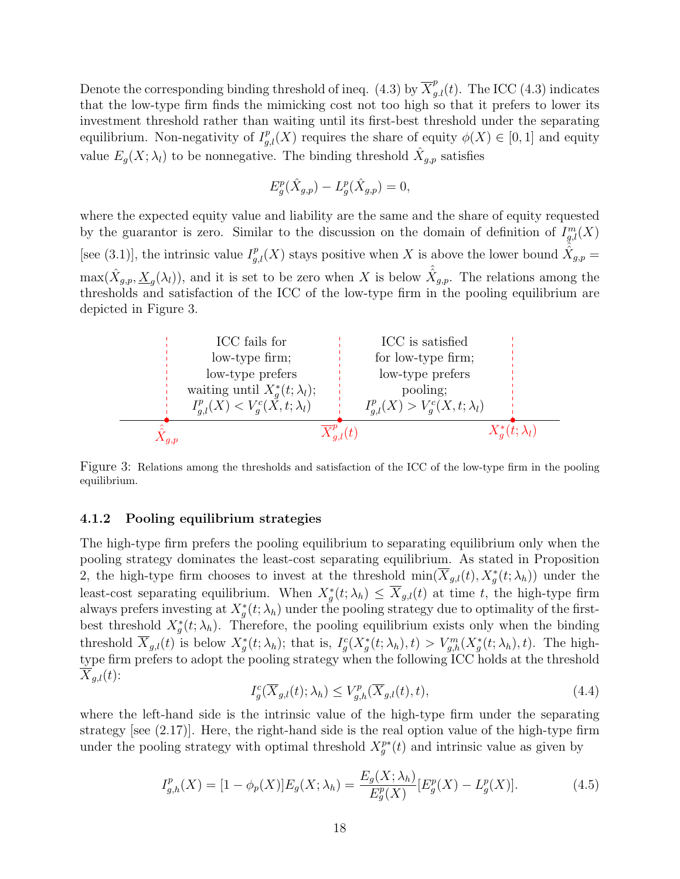Denote the corresponding binding threshold of ineq. (4.3) by  $\overline{X}_{g.l}^p(t)$ . The ICC (4.3) indicates that the low-type firm finds the mimicking cost not too high so that it prefers to lower its investment threshold rather than waiting until its first-best threshold under the separating equilibrium. Non-negativity of  $I_{g,l}^p(X)$  requires the share of equity  $\phi(X) \in [0,1]$  and equity value  $E_g(X; \lambda_l)$  to be nonnegative. The binding threshold  $\hat{X}_{g,p}$  satisfies

$$
E_g^p(\hat{X}_{g,p}) - L_g^p(\hat{X}_{g,p}) = 0,
$$

where the expected equity value and liability are the same and the share of equity requested by the guarantor is zero. Similar to the discussion on the domain of definition of  $I_{g,l}^m(X)$ [see (3.1)], the intrinsic value  $I_{g,l}^p(X)$  stays positive when X is above the lower bound  $\hat{\hat{X}}_{g,p}$  =  $\max(\hat{X}_{g,p},\underline{X}_g(\lambda_l))$ , and it is set to be zero when X is below  $\hat{\hat{X}}_{g,p}$ . The relations among the thresholds and satisfaction of the ICC of the low-type firm in the pooling equilibrium are depicted in Figure 3.



Figure 3: Relations among the thresholds and satisfaction of the ICC of the low-type firm in the pooling equilibrium.

#### 4.1.2 Pooling equilibrium strategies

The high-type firm prefers the pooling equilibrium to separating equilibrium only when the pooling strategy dominates the least-cost separating equilibrium. As stated in Proposition 2, the high-type firm chooses to invest at the threshold  $\min(\overline{X}_{g,l}(t), X_g^*(t; \lambda_h))$  under the least-cost separating equilibrium. When  $X_g^*(t; \lambda_h) \leq \overline{X}_{g,l}(t)$  at time t, the high-type firm always prefers investing at  $X_g^*(t; \lambda_h)$  under the pooling strategy due to optimality of the firstbest threshold  $X_g^*(t; \lambda_h)$ . Therefore, the pooling equilibrium exists only when the binding threshold  $\overline{X}_{g,l}(t)$  is below  $X_g^*(t; \lambda_h)$ ; that is,  $I_g^c(X_g^*(t; \lambda_h), t) > V_{g,h}^m(X_g^*(t; \lambda_h), t)$ . The hightype firm prefers to adopt the pooling strategy when the following ICC holds at the threshold  $\overline{X}_{g,l}(t)$ :

$$
I_g^c(\overline{X}_{g,l}(t); \lambda_h) \le V_{g,h}^p(\overline{X}_{g,l}(t), t),
$$
\n(4.4)

where the left-hand side is the intrinsic value of the high-type firm under the separating strategy [see  $(2.17)$ ]. Here, the right-hand side is the real option value of the high-type firm under the pooling strategy with optimal threshold  $X_g^{p*}(t)$  and intrinsic value as given by

$$
I_{g,h}^p(X) = [1 - \phi_p(X)]E_g(X; \lambda_h) = \frac{E_g(X; \lambda_h)}{E_g^p(X)}[E_g^p(X) - L_g^p(X)].
$$
\n(4.5)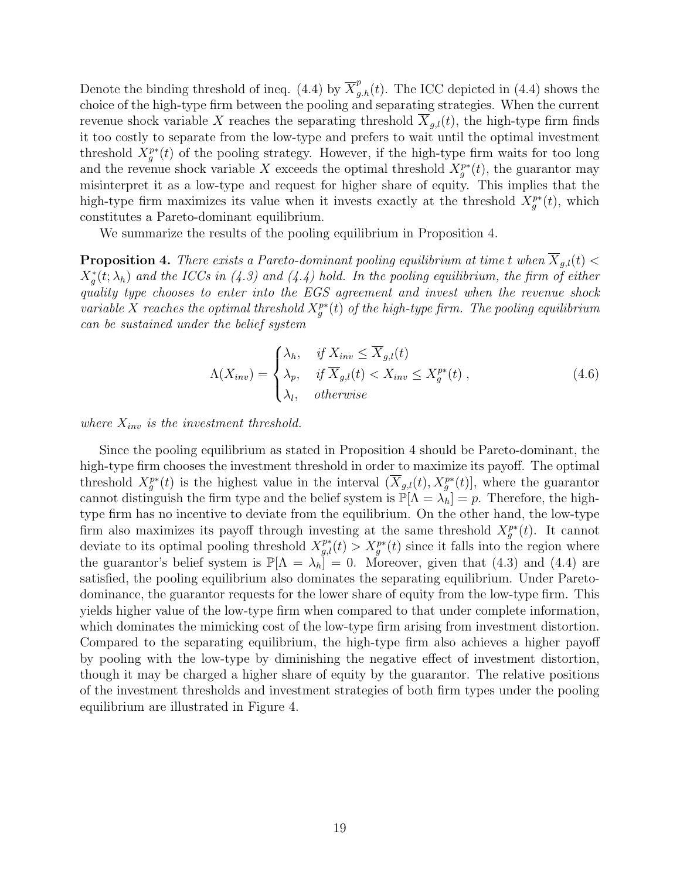Denote the binding threshold of ineq. (4.4) by  $\overline{X}_{g,h}^p(t)$ . The ICC depicted in (4.4) shows the choice of the high-type firm between the pooling and separating strategies. When the current revenue shock variable X reaches the separating threshold  $\overline{X}_{g,l}(t)$ , the high-type firm finds it too costly to separate from the low-type and prefers to wait until the optimal investment threshold  $X_g^{p*}(t)$  of the pooling strategy. However, if the high-type firm waits for too long and the revenue shock variable X exceeds the optimal threshold  $X_g^{p*}(t)$ , the guarantor may misinterpret it as a low-type and request for higher share of equity. This implies that the high-type firm maximizes its value when it invests exactly at the threshold  $X_g^{p*}(t)$ , which constitutes a Pareto-dominant equilibrium.

We summarize the results of the pooling equilibrium in Proposition 4.

**Proposition 4.** There exists a Pareto-dominant pooling equilibrium at time t when  $\overline{X}_{g,l}(t)$  <  $X^*_g(t; \lambda_h)$  and the ICCs in (4.3) and (4.4) hold. In the pooling equilibrium, the firm of either quality type chooses to enter into the EGS agreement and invest when the revenue shock variable X reaches the optimal threshold  $X_{g}^{p*}(t)$  of the high-type firm. The pooling equilibrium can be sustained under the belief system

$$
\Lambda(X_{inv}) = \begin{cases} \lambda_h, & \text{if } X_{inv} \le \overline{X}_{g,l}(t) \\ \lambda_p, & \text{if } \overline{X}_{g,l}(t) < X_{inv} \le X_g^{p*}(t) \\ \lambda_l, & \text{otherwise} \end{cases} \tag{4.6}
$$

where  $X_{inv}$  is the investment threshold.

Since the pooling equilibrium as stated in Proposition 4 should be Pareto-dominant, the high-type firm chooses the investment threshold in order to maximize its payoff. The optimal threshold  $X_g^{p*}(t)$  is the highest value in the interval  $(\overline{X}_{g,l}(t), X_g^{p*}(t)]$ , where the guarantor cannot distinguish the firm type and the belief system is  $\mathbb{P}[\Lambda = \lambda_h] = p$ . Therefore, the hightype firm has no incentive to deviate from the equilibrium. On the other hand, the low-type firm also maximizes its payoff through investing at the same threshold  $X_g^{p*}(t)$ . It cannot deviate to its optimal pooling threshold  $X_{g,l}^{p*}(t) > X_g^{p*}(t)$  since it falls into the region where the guarantor's belief system is  $\mathbb{P}[\Lambda = \lambda_h] = 0$ . Moreover, given that (4.3) and (4.4) are satisfied, the pooling equilibrium also dominates the separating equilibrium. Under Paretodominance, the guarantor requests for the lower share of equity from the low-type firm. This yields higher value of the low-type firm when compared to that under complete information, which dominates the mimicking cost of the low-type firm arising from investment distortion. Compared to the separating equilibrium, the high-type firm also achieves a higher payoff by pooling with the low-type by diminishing the negative effect of investment distortion, though it may be charged a higher share of equity by the guarantor. The relative positions of the investment thresholds and investment strategies of both firm types under the pooling equilibrium are illustrated in Figure 4.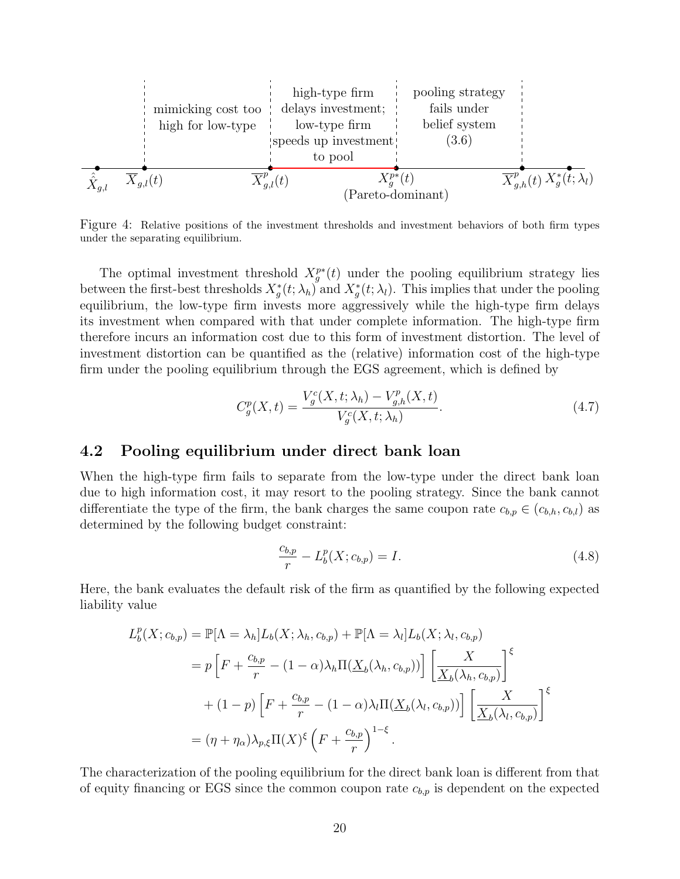

Figure 4: Relative positions of the investment thresholds and investment behaviors of both firm types under the separating equilibrium.

The optimal investment threshold  $X_g^{p*}(t)$  under the pooling equilibrium strategy lies between the first-best thresholds  $X_g^*(t; \lambda_h)$  and  $X_g^*(t; \lambda_l)$ . This implies that under the pooling equilibrium, the low-type firm invests more aggressively while the high-type firm delays its investment when compared with that under complete information. The high-type firm therefore incurs an information cost due to this form of investment distortion. The level of investment distortion can be quantified as the (relative) information cost of the high-type firm under the pooling equilibrium through the EGS agreement, which is defined by

$$
C_g^p(X,t) = \frac{V_g^c(X,t; \lambda_h) - V_{g,h}^p(X,t)}{V_g^c(X,t; \lambda_h)}.
$$
\n(4.7)

### 4.2 Pooling equilibrium under direct bank loan

When the high-type firm fails to separate from the low-type under the direct bank loan due to high information cost, it may resort to the pooling strategy. Since the bank cannot differentiate the type of the firm, the bank charges the same coupon rate  $c_{b,p} \in (c_{b,h}, c_{b,l})$  as determined by the following budget constraint:

$$
\frac{c_{b,p}}{r} - L_b^p(X; c_{b,p}) = I.
$$
\n(4.8)

Here, the bank evaluates the default risk of the firm as quantified by the following expected liability value

$$
L_b^p(X; c_{b,p}) = \mathbb{P}[\Lambda = \lambda_h] L_b(X; \lambda_h, c_{b,p}) + \mathbb{P}[\Lambda = \lambda_l] L_b(X; \lambda_l, c_{b,p})
$$
  
=  $p \left[ F + \frac{c_{b,p}}{r} - (1 - \alpha) \lambda_h \Pi(\underline{X}_b(\lambda_h, c_{b,p})) \right] \left[ \frac{X}{\underline{X}_b(\lambda_h, c_{b,p})} \right]^{\xi}$   
+  $(1-p) \left[ F + \frac{c_{b,p}}{r} - (1 - \alpha) \lambda_l \Pi(\underline{X}_b(\lambda_l, c_{b,p})) \right] \left[ \frac{X}{\underline{X}_b(\lambda_l, c_{b,p})} \right]^{\xi}$   
=  $(\eta + \eta_\alpha) \lambda_{p,\xi} \Pi(X)^{\xi} \left( F + \frac{c_{b,p}}{r} \right)^{1-\xi}.$ 

The characterization of the pooling equilibrium for the direct bank loan is different from that of equity financing or EGS since the common coupon rate  $c_{b,p}$  is dependent on the expected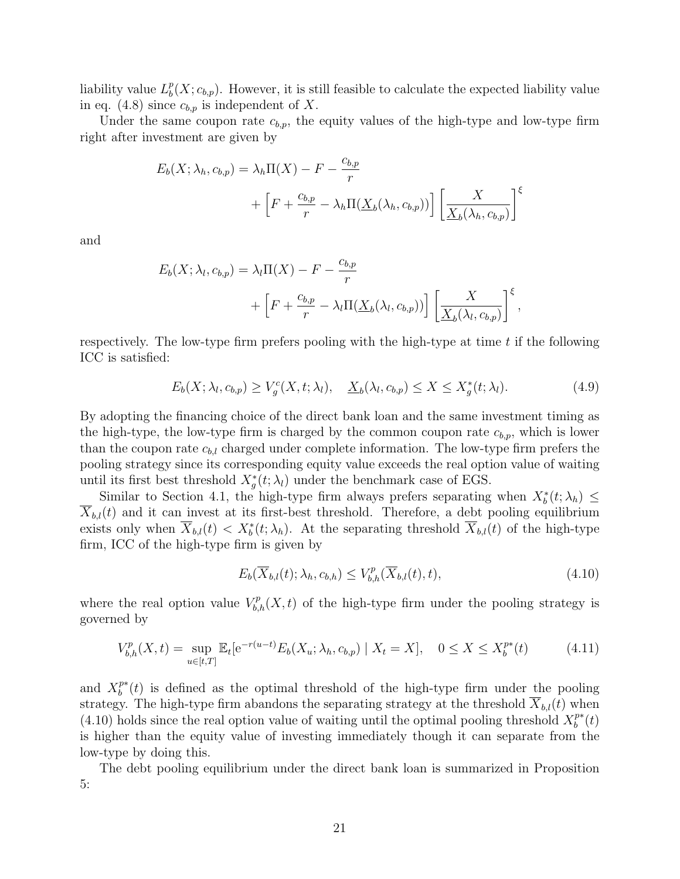liability value  $L_h^p$  $_{b}^{p}(X; c_{b,p})$ . However, it is still feasible to calculate the expected liability value in eq. (4.8) since  $c_{b,p}$  is independent of X.

Under the same coupon rate  $c_{b,p}$ , the equity values of the high-type and low-type firm right after investment are given by

$$
E_b(X; \lambda_h, c_{b,p}) = \lambda_h \Pi(X) - F - \frac{c_{b,p}}{r}
$$
  
+ 
$$
\left[ F + \frac{c_{b,p}}{r} - \lambda_h \Pi(\underline{X}_b(\lambda_h, c_{b,p})) \right] \left[ \frac{X}{\underline{X}_b(\lambda_h, c_{b,p})} \right]^{\xi}
$$

and

$$
E_b(X; \lambda_l, c_{b,p}) = \lambda_l \Pi(X) - F - \frac{c_{b,p}}{r}
$$
  
+  $\left[ F + \frac{c_{b,p}}{r} - \lambda_l \Pi(\underline{X}_b(\lambda_l, c_{b,p})) \right] \left[ \frac{X}{\underline{X}_b(\lambda_l, c_{b,p})} \right]^{\xi},$ 

respectively. The low-type firm prefers pooling with the high-type at time  $t$  if the following ICC is satisfied:

$$
E_b(X; \lambda_l, c_{b,p}) \ge V_g^c(X, t; \lambda_l), \quad \underline{X}_b(\lambda_l, c_{b,p}) \le X \le X_g^*(t; \lambda_l). \tag{4.9}
$$

By adopting the financing choice of the direct bank loan and the same investment timing as the high-type, the low-type firm is charged by the common coupon rate  $c_{b,p}$ , which is lower than the coupon rate  $c_{b,l}$  charged under complete information. The low-type firm prefers the pooling strategy since its corresponding equity value exceeds the real option value of waiting until its first best threshold  $X_g^*(t; \lambda_l)$  under the benchmark case of EGS.

Similar to Section 4.1, the high-type firm always prefers separating when  $X_b^*(t; \lambda_h) \leq$  $\overline{X}_{b,l}(t)$  and it can invest at its first-best threshold. Therefore, a debt pooling equilibrium exists only when  $\overline{X}_{b,l}(t) < X_b^*(t; \lambda_h)$ . At the separating threshold  $\overline{X}_{b,l}(t)$  of the high-type firm, ICC of the high-type firm is given by

$$
E_b(\overline{X}_{b,l}(t); \lambda_h, c_{b,h}) \le V^p_{b,h}(\overline{X}_{b,l}(t), t), \tag{4.10}
$$

where the real option value  $V_{b,h}^p(X,t)$  of the high-type firm under the pooling strategy is governed by

$$
V_{b,h}^{p}(X,t) = \sup_{u \in [t,T]} \mathbb{E}_{t}[e^{-r(u-t)}E_{b}(X_{u}; \lambda_{h}, c_{b,p}) \mid X_{t} = X], \quad 0 \le X \le X_{b}^{p*}(t) \tag{4.11}
$$

and  $X_h^{p*}$  $b^{p*}(t)$  is defined as the optimal threshold of the high-type firm under the pooling strategy. The high-type firm abandons the separating strategy at the threshold  $X_{b,l}(t)$  when (4.10) holds since the real option value of waiting until the optimal pooling threshold  $X_h^{p*}$  $_{b}^{p*}(t)$ is higher than the equity value of investing immediately though it can separate from the low-type by doing this.

The debt pooling equilibrium under the direct bank loan is summarized in Proposition 5: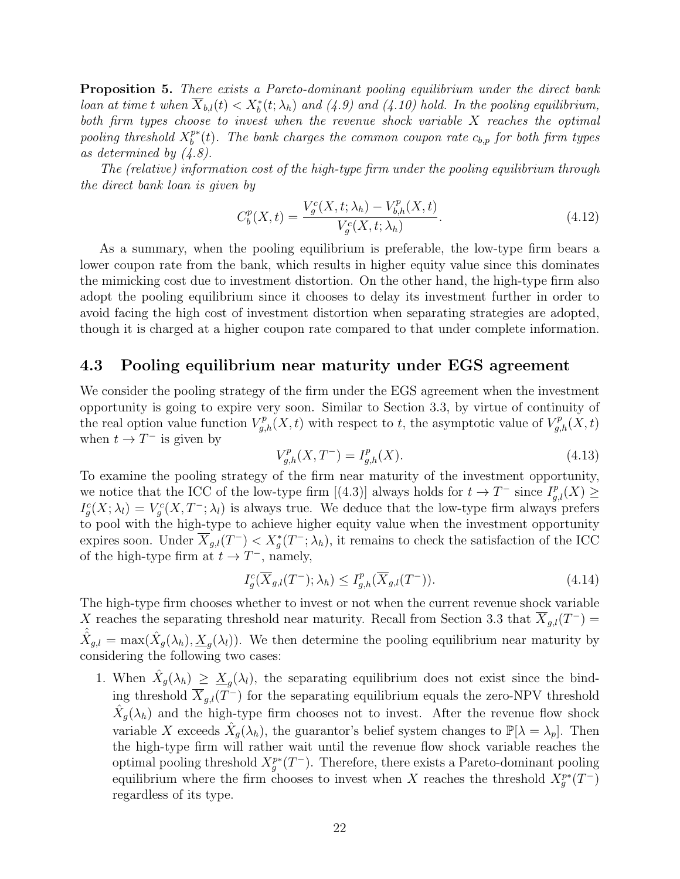Proposition 5. There exists a Pareto-dominant pooling equilibrium under the direct bank loan at time t when  $\overline{X}_{b,l}(t) < X_b^*(t; \lambda_h)$  and  $(4.9)$  and  $(4.10)$  hold. In the pooling equilibrium, both firm types choose to invest when the revenue shock variable X reaches the optimal pooling threshold  $X_b^{p*}$  $b^{p*}(t)$ . The bank charges the common coupon rate  $c_{b,p}$  for both firm types as determined by (4.8).

The (relative) information cost of the high-type firm under the pooling equilibrium through the direct bank loan is given by

$$
C_b^p(X,t) = \frac{V_g^c(X,t;\lambda_h) - V_{b,h}^p(X,t)}{V_g^c(X,t;\lambda_h)}.
$$
\n(4.12)

As a summary, when the pooling equilibrium is preferable, the low-type firm bears a lower coupon rate from the bank, which results in higher equity value since this dominates the mimicking cost due to investment distortion. On the other hand, the high-type firm also adopt the pooling equilibrium since it chooses to delay its investment further in order to avoid facing the high cost of investment distortion when separating strategies are adopted, though it is charged at a higher coupon rate compared to that under complete information.

### 4.3 Pooling equilibrium near maturity under EGS agreement

We consider the pooling strategy of the firm under the EGS agreement when the investment opportunity is going to expire very soon. Similar to Section 3.3, by virtue of continuity of the real option value function  $V_{g,h}^p(X,t)$  with respect to t, the asymptotic value of  $V_{g,h}^p(X,t)$ when  $t \to T^-$  is given by

$$
V_{g,h}^p(X, T^-) = I_{g,h}^p(X). \tag{4.13}
$$

To examine the pooling strategy of the firm near maturity of the investment opportunity, we notice that the ICC of the low-type firm [(4.3)] always holds for  $t \to T^-$  since  $I_{g,l}^p(X) \geq$  $I_g^c(X; \lambda_l) = V_g^c(X, T^-; \lambda_l)$  is always true. We deduce that the low-type firm always prefers to pool with the high-type to achieve higher equity value when the investment opportunity expires soon. Under  $\overline{X}_{g,l}(T^-) < X_g^*(T^-; \lambda_h)$ , it remains to check the satisfaction of the ICC of the high-type firm at  $t \to T^-$ , namely,

$$
I_g^c(\overline{X}_{g,l}(T^-); \lambda_h) \le I_{g,h}^p(\overline{X}_{g,l}(T^-)).
$$
\n(4.14)

The high-type firm chooses whether to invest or not when the current revenue shock variable X reaches the separating threshold near maturity. Recall from Section 3.3 that  $\overline{X}_{g,l}(T^-) =$  $\hat{X}_{g,l} = \max(\hat{X}_g(\lambda_h), \underline{X}_g(\lambda_l)).$  We then determine the pooling equilibrium near maturity by considering the following two cases:

1. When  $\hat{X}_g(\lambda_h) \geq \underline{X}_g(\lambda_l)$ , the separating equilibrium does not exist since the binding threshold  $\overline{X}_{g,l}(T^-)$  for the separating equilibrium equals the zero-NPV threshold  $\hat{X}_g(\lambda_h)$  and the high-type firm chooses not to invest. After the revenue flow shock variable X exceeds  $\hat{X}_g(\lambda_h)$ , the guarantor's belief system changes to  $\mathbb{P}[\lambda = \lambda_p]$ . Then the high-type firm will rather wait until the revenue flow shock variable reaches the optimal pooling threshold  $X_g^{p*}(T^-)$ . Therefore, there exists a Pareto-dominant pooling equilibrium where the firm chooses to invest when X reaches the threshold  $X_g^{p*}(T^-)$ regardless of its type.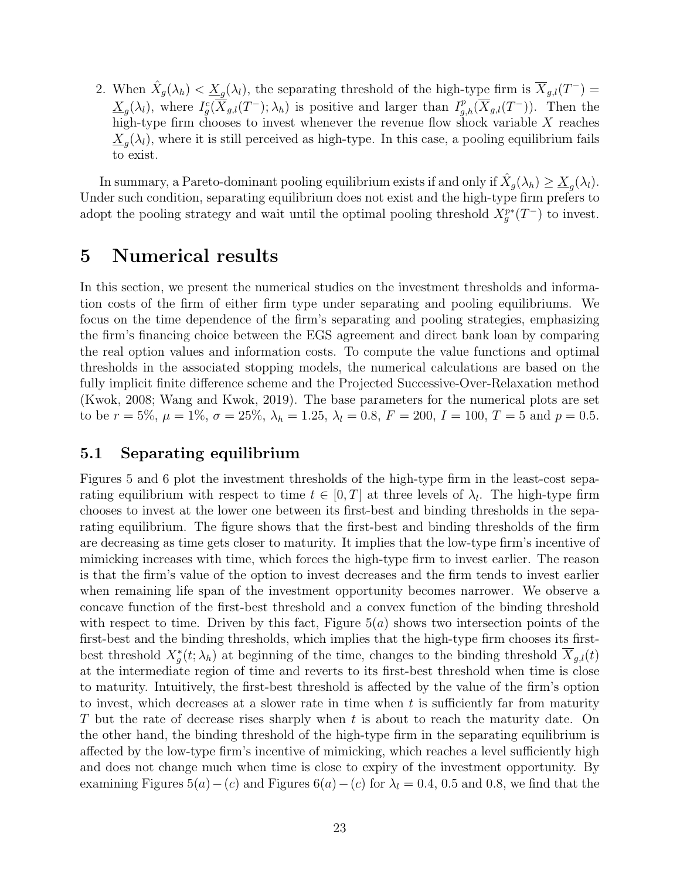2. When  $\hat{X}_g(\lambda_h) < \underline{X}_g(\lambda_l)$ , the separating threshold of the high-type firm is  $\overline{X}_{g,l}(T^-) =$  $\underline{X}_{g}(\lambda_l)$ , where  $I_g^c(\overline{X}_{g,l}(T^-); \lambda_h)$  is positive and larger than  $I_{g,h}^p(\overline{X}_{g,l}(T^-))$ . Then the high-type firm chooses to invest whenever the revenue flow shock variable  $X$  reaches  $\underline{X}_{g}(\lambda_l)$ , where it is still perceived as high-type. In this case, a pooling equilibrium fails to exist.

In summary, a Pareto-dominant pooling equilibrium exists if and only if  $\hat{X}_g(\lambda_h) \geq \underline{X}_g(\lambda_l)$ . Under such condition, separating equilibrium does not exist and the high-type firm prefers to adopt the pooling strategy and wait until the optimal pooling threshold  $X_g^{p*}(T^-)$  to invest.

## 5 Numerical results

In this section, we present the numerical studies on the investment thresholds and information costs of the firm of either firm type under separating and pooling equilibriums. We focus on the time dependence of the firm's separating and pooling strategies, emphasizing the firm's financing choice between the EGS agreement and direct bank loan by comparing the real option values and information costs. To compute the value functions and optimal thresholds in the associated stopping models, the numerical calculations are based on the fully implicit finite difference scheme and the Projected Successive-Over-Relaxation method (Kwok, 2008; Wang and Kwok, 2019). The base parameters for the numerical plots are set to be  $r = 5\%, \mu = 1\%, \sigma = 25\%, \lambda_h = 1.25, \lambda_l = 0.8, F = 200, I = 100, T = 5$  and  $p = 0.5$ .

### 5.1 Separating equilibrium

Figures 5 and 6 plot the investment thresholds of the high-type firm in the least-cost separating equilibrium with respect to time  $t \in [0, T]$  at three levels of  $\lambda_l$ . The high-type firm chooses to invest at the lower one between its first-best and binding thresholds in the separating equilibrium. The figure shows that the first-best and binding thresholds of the firm are decreasing as time gets closer to maturity. It implies that the low-type firm's incentive of mimicking increases with time, which forces the high-type firm to invest earlier. The reason is that the firm's value of the option to invest decreases and the firm tends to invest earlier when remaining life span of the investment opportunity becomes narrower. We observe a concave function of the first-best threshold and a convex function of the binding threshold with respect to time. Driven by this fact, Figure  $5(a)$  shows two intersection points of the first-best and the binding thresholds, which implies that the high-type firm chooses its firstbest threshold  $X_g^*(t; \lambda_h)$  at beginning of the time, changes to the binding threshold  $\overline{X}_{g,l}(t)$ at the intermediate region of time and reverts to its first-best threshold when time is close to maturity. Intuitively, the first-best threshold is affected by the value of the firm's option to invest, which decreases at a slower rate in time when  $t$  is sufficiently far from maturity T but the rate of decrease rises sharply when t is about to reach the maturity date. On the other hand, the binding threshold of the high-type firm in the separating equilibrium is affected by the low-type firm's incentive of mimicking, which reaches a level sufficiently high and does not change much when time is close to expiry of the investment opportunity. By examining Figures 5(a) – (c) and Figures 6(a) – (c) for  $\lambda_l = 0.4, 0.5$  and 0.8, we find that the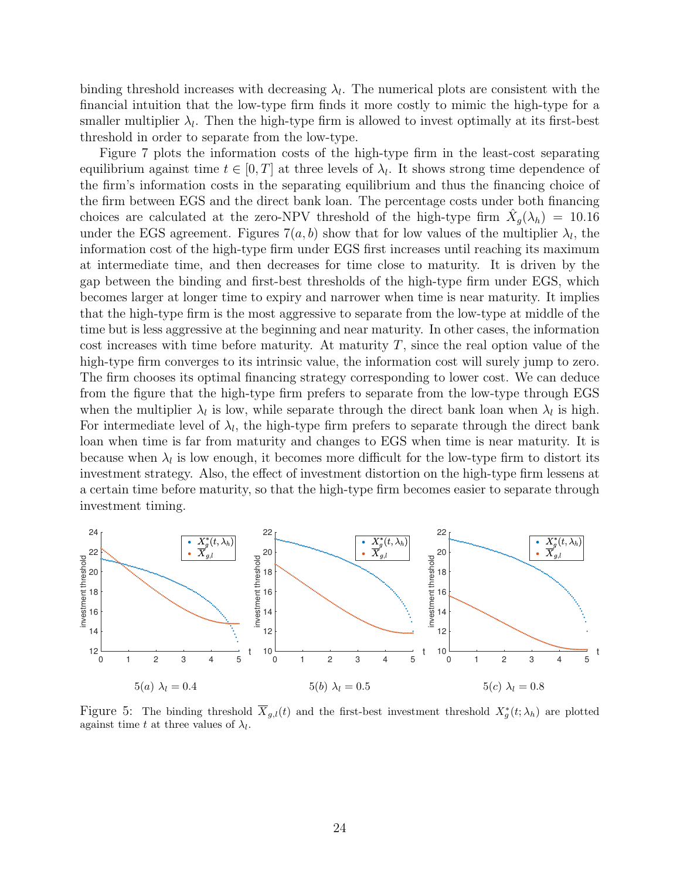binding threshold increases with decreasing  $\lambda_l$ . The numerical plots are consistent with the financial intuition that the low-type firm finds it more costly to mimic the high-type for a smaller multiplier  $\lambda_l$ . Then the high-type firm is allowed to invest optimally at its first-best threshold in order to separate from the low-type.

Figure 7 plots the information costs of the high-type firm in the least-cost separating equilibrium against time  $t \in [0, T]$  at three levels of  $\lambda_l$ . It shows strong time dependence of the firm's information costs in the separating equilibrium and thus the financing choice of the firm between EGS and the direct bank loan. The percentage costs under both financing choices are calculated at the zero-NPV threshold of the high-type firm  $\hat{X}_g(\lambda_h) = 10.16$ under the EGS agreement. Figures  $7(a, b)$  show that for low values of the multiplier  $\lambda_l$ , the information cost of the high-type firm under EGS first increases until reaching its maximum at intermediate time, and then decreases for time close to maturity. It is driven by the gap between the binding and first-best thresholds of the high-type firm under EGS, which becomes larger at longer time to expiry and narrower when time is near maturity. It implies that the high-type firm is the most aggressive to separate from the low-type at middle of the time but is less aggressive at the beginning and near maturity. In other cases, the information cost increases with time before maturity. At maturity  $T$ , since the real option value of the high-type firm converges to its intrinsic value, the information cost will surely jump to zero. The firm chooses its optimal financing strategy corresponding to lower cost. We can deduce from the figure that the high-type firm prefers to separate from the low-type through EGS when the multiplier  $\lambda_l$  is low, while separate through the direct bank loan when  $\lambda_l$  is high. For intermediate level of  $\lambda_l$ , the high-type firm prefers to separate through the direct bank loan when time is far from maturity and changes to EGS when time is near maturity. It is because when  $\lambda_l$  is low enough, it becomes more difficult for the low-type firm to distort its investment strategy. Also, the effect of investment distortion on the high-type firm lessens at a certain time before maturity, so that the high-type firm becomes easier to separate through investment timing.



Figure 5: The binding threshold  $\overline{X}_{g,l}(t)$  and the first-best investment threshold  $X_g^*(t; \lambda_h)$  are plotted against time t at three values of  $\lambda_l$ .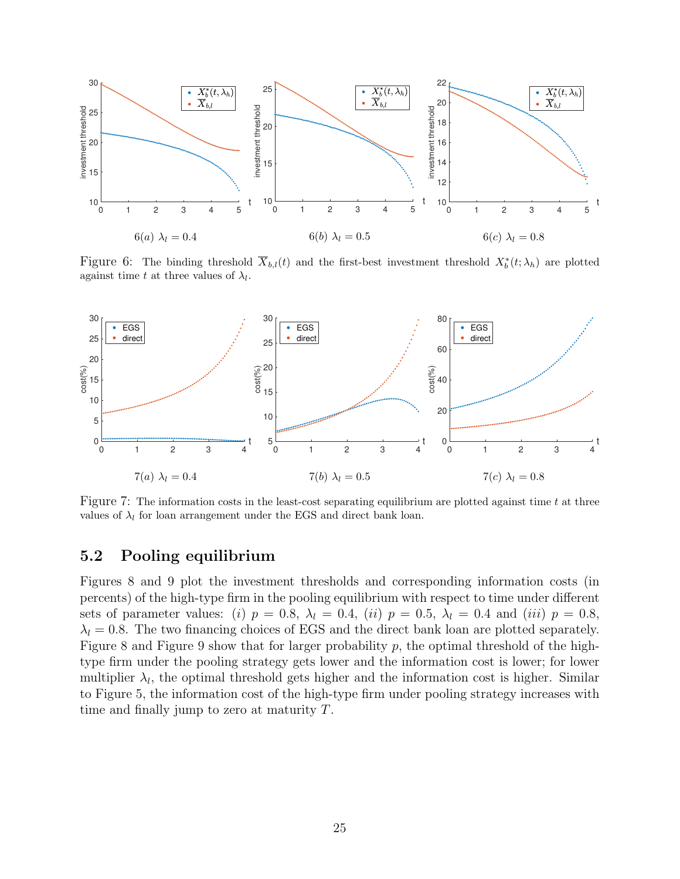

Figure 6: The binding threshold  $\overline{X}_{b,l}(t)$  and the first-best investment threshold  $X_b^*(t; \lambda_h)$  are plotted against time t at three values of  $\lambda_l$ .



Figure 7: The information costs in the least-cost separating equilibrium are plotted against time  $t$  at three values of  $\lambda_l$  for loan arrangement under the EGS and direct bank loan.

### 5.2 Pooling equilibrium

Figures 8 and 9 plot the investment thresholds and corresponding information costs (in percents) of the high-type firm in the pooling equilibrium with respect to time under different sets of parameter values: (i)  $p = 0.8$ ,  $\lambda_l = 0.4$ , (ii)  $p = 0.5$ ,  $\lambda_l = 0.4$  and (iii)  $p = 0.8$ ,  $\lambda_l = 0.8$ . The two financing choices of EGS and the direct bank loan are plotted separately. Figure 8 and Figure 9 show that for larger probability  $p$ , the optimal threshold of the hightype firm under the pooling strategy gets lower and the information cost is lower; for lower multiplier  $\lambda_l$ , the optimal threshold gets higher and the information cost is higher. Similar to Figure 5, the information cost of the high-type firm under pooling strategy increases with time and finally jump to zero at maturity T.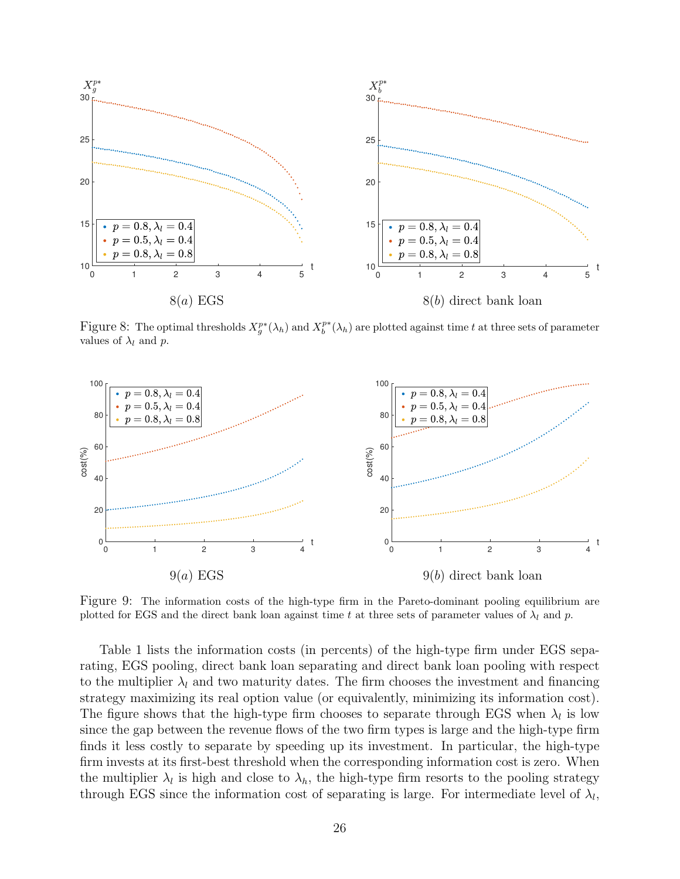

Figure 8: The optimal thresholds  $X_g^{p*}(\lambda_h)$  and  $X_b^{p*}(\lambda_h)$  are plotted against time t at three sets of parameter values of  $\lambda_l$  and p.



Figure 9: The information costs of the high-type firm in the Pareto-dominant pooling equilibrium are plotted for EGS and the direct bank loan against time t at three sets of parameter values of  $\lambda_l$  and p.

Table 1 lists the information costs (in percents) of the high-type firm under EGS separating, EGS pooling, direct bank loan separating and direct bank loan pooling with respect to the multiplier  $\lambda_l$  and two maturity dates. The firm chooses the investment and financing strategy maximizing its real option value (or equivalently, minimizing its information cost). The figure shows that the high-type firm chooses to separate through EGS when  $\lambda_l$  is low since the gap between the revenue flows of the two firm types is large and the high-type firm finds it less costly to separate by speeding up its investment. In particular, the high-type firm invests at its first-best threshold when the corresponding information cost is zero. When the multiplier  $\lambda_l$  is high and close to  $\lambda_h$ , the high-type firm resorts to the pooling strategy through EGS since the information cost of separating is large. For intermediate level of  $\lambda_l$ ,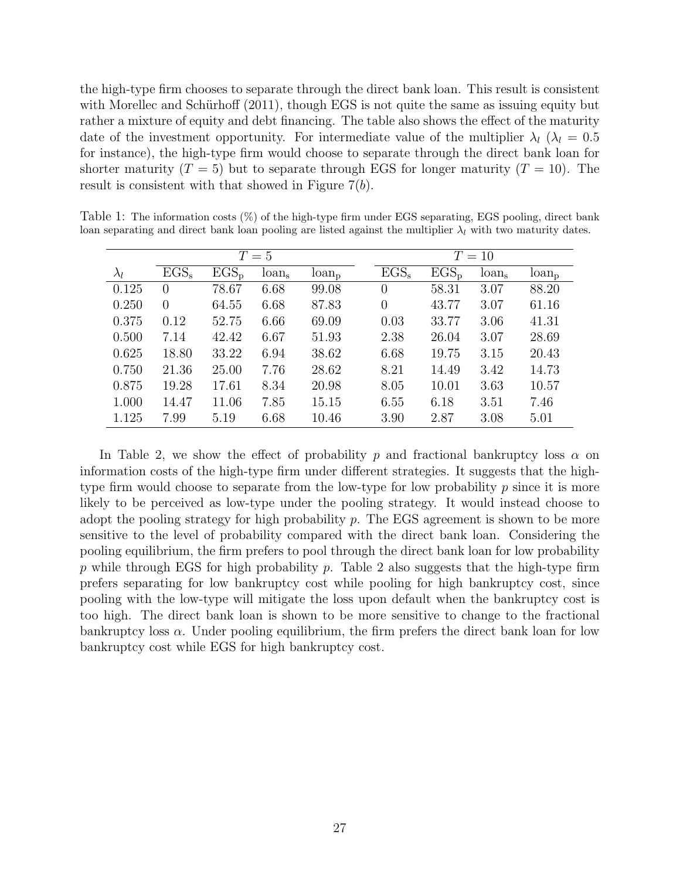the high-type firm chooses to separate through the direct bank loan. This result is consistent with Morellec and Schürhoff  $(2011)$ , though EGS is not quite the same as issuing equity but rather a mixture of equity and debt financing. The table also shows the effect of the maturity date of the investment opportunity. For intermediate value of the multiplier  $\lambda_l$  ( $\lambda_l = 0.5$ for instance), the high-type firm would choose to separate through the direct bank loan for shorter maturity  $(T = 5)$  but to separate through EGS for longer maturity  $(T = 10)$ . The result is consistent with that showed in Figure  $7(b)$ .

|             |                  |           |                   | $T=10$     |                |         |          |            |
|-------------|------------------|-----------|-------------------|------------|----------------|---------|----------|------------|
| $\lambda_l$ | $EGS_s$          | $EGS_{p}$ | $T=5$<br>$\tan s$ | $\tan_{p}$ | $EGS_s$        | $EGS_p$ | $\tan s$ | $\tan_{p}$ |
| 0.125       | $\left( \right)$ | 78.67     | 6.68              | 99.08      | $\theta$       | 58.31   | 3.07     | 88.20      |
| 0.250       | $\Omega$         | 64.55     | 6.68              | 87.83      | $\overline{0}$ | 43.77   | 3.07     | 61.16      |
| 0.375       | 0.12             | 52.75     | 6.66              | 69.09      | 0.03           | 33.77   | 3.06     | 41.31      |
| 0.500       | 7.14             | 42.42     | 6.67              | 51.93      | 2.38           | 26.04   | 3.07     | 28.69      |
| 0.625       | 18.80            | 33.22     | 6.94              | 38.62      | 6.68           | 19.75   | 3.15     | 20.43      |
| 0.750       | 21.36            | 25.00     | 7.76              | 28.62      | 8.21           | 14.49   | 3.42     | 14.73      |
| 0.875       | 19.28            | 17.61     | 8.34              | 20.98      | 8.05           | 10.01   | 3.63     | 10.57      |
| 1.000       | 14.47            | 11.06     | 7.85              | 15.15      | 6.55           | 6.18    | 3.51     | 7.46       |
| 1.125       | 7.99             | 5.19      | 6.68              | 10.46      | 3.90           | 2.87    | 3.08     | 5.01       |

Table 1: The information costs (%) of the high-type firm under EGS separating, EGS pooling, direct bank loan separating and direct bank loan pooling are listed against the multiplier  $\lambda_l$  with two maturity dates.

In Table 2, we show the effect of probability p and fractional bankruptcy loss  $\alpha$  on information costs of the high-type firm under different strategies. It suggests that the hightype firm would choose to separate from the low-type for low probability  $p$  since it is more likely to be perceived as low-type under the pooling strategy. It would instead choose to adopt the pooling strategy for high probability  $p$ . The EGS agreement is shown to be more sensitive to the level of probability compared with the direct bank loan. Considering the pooling equilibrium, the firm prefers to pool through the direct bank loan for low probability  $p$  while through EGS for high probability  $p$ . Table 2 also suggests that the high-type firm prefers separating for low bankruptcy cost while pooling for high bankruptcy cost, since pooling with the low-type will mitigate the loss upon default when the bankruptcy cost is too high. The direct bank loan is shown to be more sensitive to change to the fractional bankruptcy loss  $\alpha$ . Under pooling equilibrium, the firm prefers the direct bank loan for low bankruptcy cost while EGS for high bankruptcy cost.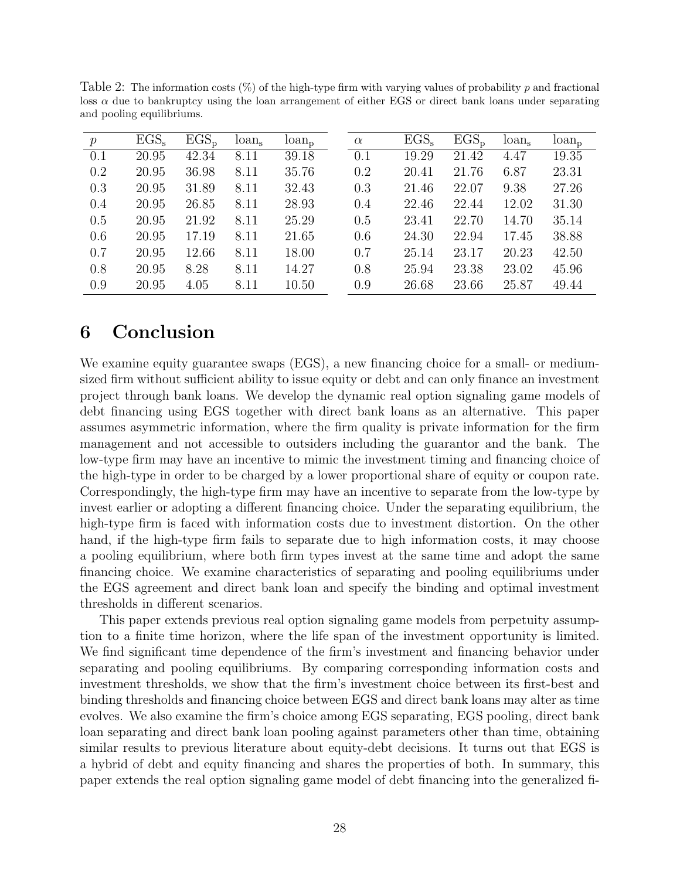| $\boldsymbol{p}$ | $EGS_s$ | $EGS_p$ | $\tan s$ | $\tan_{p}$ | $\alpha$ | $EGS_s$ | $EGS_p$ | $\tan$ <sub>s</sub> | $\tan_{p}$ |
|------------------|---------|---------|----------|------------|----------|---------|---------|---------------------|------------|
| 0.1              | 20.95   | 42.34   | 8.11     | 39.18      | 0.1      | 19.29   | 21.42   | 4.47                | 19.35      |
| 0.2              | 20.95   | 36.98   | 8.11     | 35.76      | 0.2      | 20.41   | 21.76   | 6.87                | 23.31      |
| 0.3              | 20.95   | 31.89   | 8.11     | 32.43      | 0.3      | 21.46   | 22.07   | 9.38                | 27.26      |
| 0.4              | 20.95   | 26.85   | 8.11     | 28.93      | 0.4      | 22.46   | 22.44   | 12.02               | 31.30      |
| 0.5              | 20.95   | 21.92   | 8.11     | 25.29      | 0.5      | 23.41   | 22.70   | 14.70               | 35.14      |
| 0.6              | 20.95   | 17.19   | 8.11     | 21.65      | 0.6      | 24.30   | 22.94   | 17.45               | 38.88      |
| 0.7              | 20.95   | 12.66   | 8.11     | 18.00      | 0.7      | 25.14   | 23.17   | 20.23               | 42.50      |
| 0.8              | 20.95   | 8.28    | 8.11     | 14.27      | 0.8      | 25.94   | 23.38   | 23.02               | 45.96      |
| 0.9              | 20.95   | 4.05    | 8.11     | 10.50      | 0.9      | 26.68   | 23.66   | 25.87               | 49.44      |

Table 2: The information costs  $(\%)$  of the high-type firm with varying values of probability p and fractional loss  $\alpha$  due to bankruptcy using the loan arrangement of either EGS or direct bank loans under separating and pooling equilibriums.

## 6 Conclusion

We examine equity guarantee swaps (EGS), a new financing choice for a small- or mediumsized firm without sufficient ability to issue equity or debt and can only finance an investment project through bank loans. We develop the dynamic real option signaling game models of debt financing using EGS together with direct bank loans as an alternative. This paper assumes asymmetric information, where the firm quality is private information for the firm management and not accessible to outsiders including the guarantor and the bank. The low-type firm may have an incentive to mimic the investment timing and financing choice of the high-type in order to be charged by a lower proportional share of equity or coupon rate. Correspondingly, the high-type firm may have an incentive to separate from the low-type by invest earlier or adopting a different financing choice. Under the separating equilibrium, the high-type firm is faced with information costs due to investment distortion. On the other hand, if the high-type firm fails to separate due to high information costs, it may choose a pooling equilibrium, where both firm types invest at the same time and adopt the same financing choice. We examine characteristics of separating and pooling equilibriums under the EGS agreement and direct bank loan and specify the binding and optimal investment thresholds in different scenarios.

This paper extends previous real option signaling game models from perpetuity assumption to a finite time horizon, where the life span of the investment opportunity is limited. We find significant time dependence of the firm's investment and financing behavior under separating and pooling equilibriums. By comparing corresponding information costs and investment thresholds, we show that the firm's investment choice between its first-best and binding thresholds and financing choice between EGS and direct bank loans may alter as time evolves. We also examine the firm's choice among EGS separating, EGS pooling, direct bank loan separating and direct bank loan pooling against parameters other than time, obtaining similar results to previous literature about equity-debt decisions. It turns out that EGS is a hybrid of debt and equity financing and shares the properties of both. In summary, this paper extends the real option signaling game model of debt financing into the generalized fi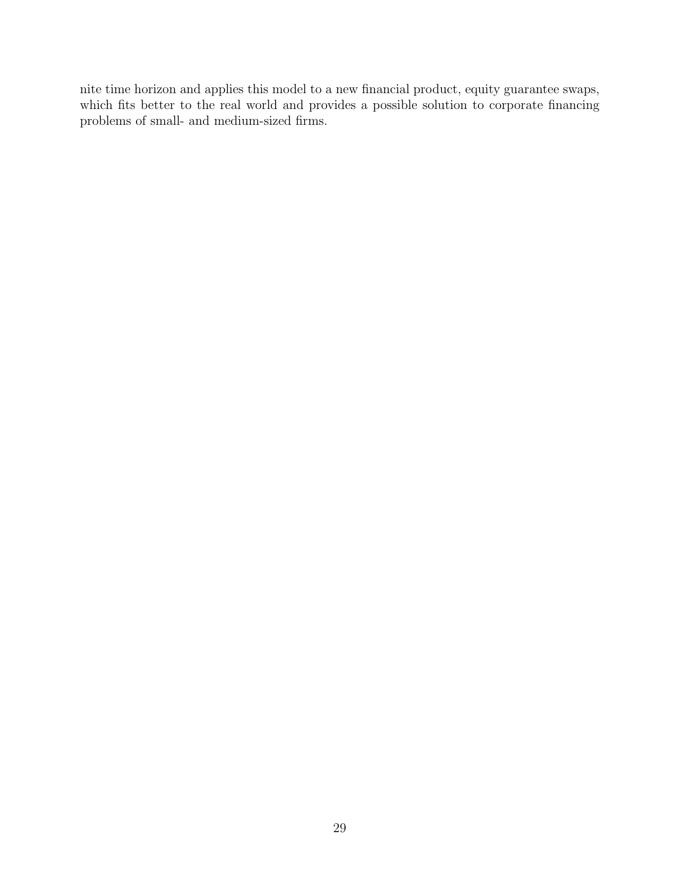nite time horizon and applies this model to a new financial product, equity guarantee swaps, which fits better to the real world and provides a possible solution to corporate financing problems of small- and medium-sized firms.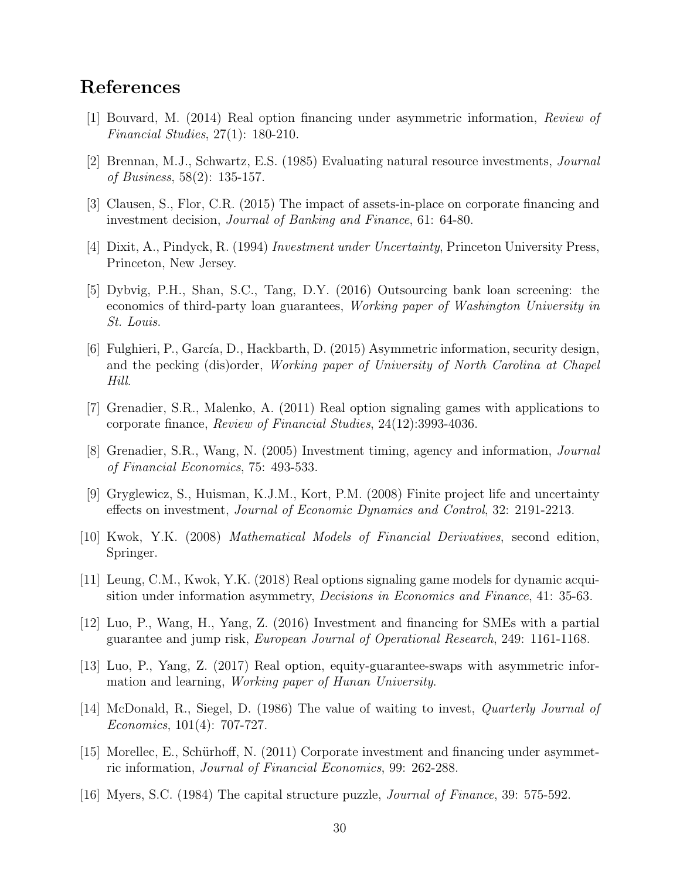## References

- [1] Bouvard, M. (2014) Real option financing under asymmetric information, Review of Financial Studies, 27(1): 180-210.
- [2] Brennan, M.J., Schwartz, E.S. (1985) Evaluating natural resource investments, Journal of Business, 58(2): 135-157.
- [3] Clausen, S., Flor, C.R. (2015) The impact of assets-in-place on corporate financing and investment decision, Journal of Banking and Finance, 61: 64-80.
- [4] Dixit, A., Pindyck, R. (1994) Investment under Uncertainty, Princeton University Press, Princeton, New Jersey.
- [5] Dybvig, P.H., Shan, S.C., Tang, D.Y. (2016) Outsourcing bank loan screening: the economics of third-party loan guarantees, Working paper of Washington University in St. Louis.
- [6] Fulghieri, P., García, D., Hackbarth, D. (2015) Asymmetric information, security design, and the pecking (dis)order, Working paper of University of North Carolina at Chapel Hill.
- [7] Grenadier, S.R., Malenko, A. (2011) Real option signaling games with applications to corporate finance, Review of Financial Studies, 24(12):3993-4036.
- [8] Grenadier, S.R., Wang, N. (2005) Investment timing, agency and information, Journal of Financial Economics, 75: 493-533.
- [9] Gryglewicz, S., Huisman, K.J.M., Kort, P.M. (2008) Finite project life and uncertainty effects on investment, Journal of Economic Dynamics and Control, 32: 2191-2213.
- [10] Kwok, Y.K. (2008) Mathematical Models of Financial Derivatives, second edition, Springer.
- [11] Leung, C.M., Kwok, Y.K. (2018) Real options signaling game models for dynamic acquisition under information asymmetry, *Decisions in Economics and Finance*, 41: 35-63.
- [12] Luo, P., Wang, H., Yang, Z. (2016) Investment and financing for SMEs with a partial guarantee and jump risk, European Journal of Operational Research, 249: 1161-1168.
- [13] Luo, P., Yang, Z. (2017) Real option, equity-guarantee-swaps with asymmetric information and learning, Working paper of Hunan University.
- [14] McDonald, R., Siegel, D. (1986) The value of waiting to invest, Quarterly Journal of Economics, 101(4): 707-727.
- [15] Morellec, E., Schürhoff, N. (2011) Corporate investment and financing under asymmetric information, Journal of Financial Economics, 99: 262-288.
- [16] Myers, S.C. (1984) The capital structure puzzle, Journal of Finance, 39: 575-592.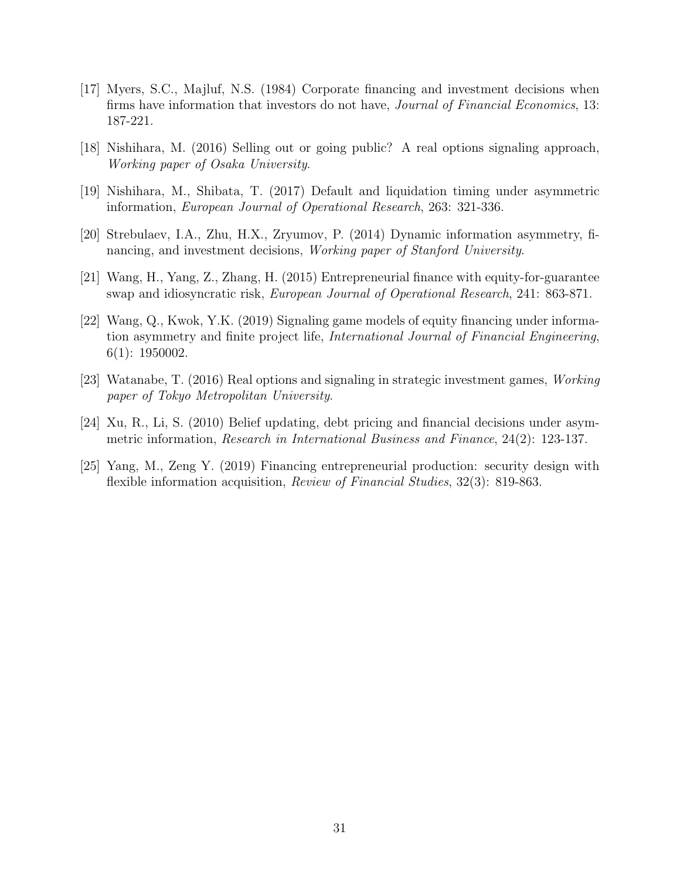- [17] Myers, S.C., Majluf, N.S. (1984) Corporate financing and investment decisions when firms have information that investors do not have, *Journal of Financial Economics*, 13: 187-221.
- [18] Nishihara, M. (2016) Selling out or going public? A real options signaling approach, Working paper of Osaka University.
- [19] Nishihara, M., Shibata, T. (2017) Default and liquidation timing under asymmetric information, European Journal of Operational Research, 263: 321-336.
- [20] Strebulaev, I.A., Zhu, H.X., Zryumov, P. (2014) Dynamic information asymmetry, financing, and investment decisions, Working paper of Stanford University.
- [21] Wang, H., Yang, Z., Zhang, H. (2015) Entrepreneurial finance with equity-for-guarantee swap and idiosyncratic risk, European Journal of Operational Research, 241: 863-871.
- [22] Wang, Q., Kwok, Y.K. (2019) Signaling game models of equity financing under information asymmetry and finite project life, International Journal of Financial Engineering, 6(1): 1950002.
- [23] Watanabe, T. (2016) Real options and signaling in strategic investment games, Working paper of Tokyo Metropolitan University.
- [24] Xu, R., Li, S. (2010) Belief updating, debt pricing and financial decisions under asymmetric information, Research in International Business and Finance, 24(2): 123-137.
- [25] Yang, M., Zeng Y. (2019) Financing entrepreneurial production: security design with flexible information acquisition, Review of Financial Studies, 32(3): 819-863.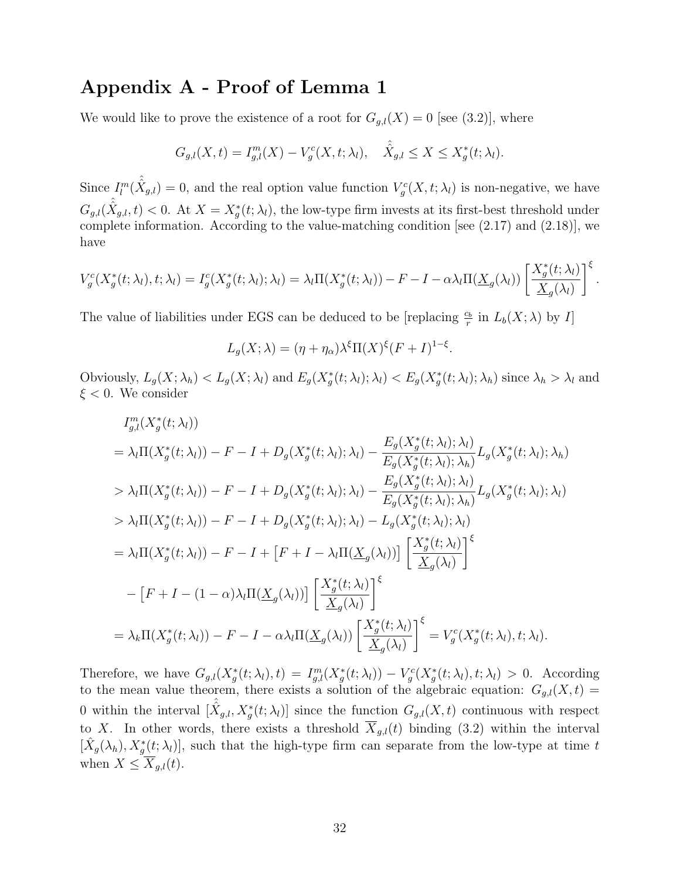## Appendix A - Proof of Lemma 1

We would like to prove the existence of a root for  $G_{g,l}(X) = 0$  [see (3.2)], where

$$
G_{g,l}(X,t) = I_{g,l}^m(X) - V_g^c(X,t;\lambda_l), \quad \hat{X}_{g,l} \le X \le X_g^*(t;\lambda_l).
$$

Since  $I_l^m(\hat{X}_{g,l})=0$ , and the real option value function  $V_g^c(X,t;\lambda_l)$  is non-negative, we have  $G_{g,l}(\hat{\hat{X}}_{g,l},t) < 0$ . At  $X = X_g^*(t;\lambda_l)$ , the low-type firm invests at its first-best threshold under complete information. According to the value-matching condition [see (2.17) and (2.18)], we have

$$
V_g^c(X_g^*(t; \lambda_l), t; \lambda_l) = I_g^c(X_g^*(t; \lambda_l); \lambda_l) = \lambda_l \Pi(X_g^*(t; \lambda_l)) - F - I - \alpha \lambda_l \Pi(\underline{X}_g(\lambda_l)) \left[ \frac{X_g^*(t; \lambda_l)}{\underline{X}_g(\lambda_l)} \right]^{\xi}.
$$

The value of liabilities under EGS can be deduced to be [replacing  $\frac{c_b}{r}$  in  $L_b(X; \lambda)$  by I]

 $L_g(X; \lambda) = (\eta + \eta_\alpha)\lambda^{\xi} \Pi(X)^{\xi} (F + I)^{1-\xi}.$ 

Obviously,  $L_g(X; \lambda_h) < L_g(X; \lambda_l)$  and  $E_g(X_g^*(t; \lambda_l); \lambda_l) < E_g(X_g^*(t; \lambda_l); \lambda_h)$  since  $\lambda_h > \lambda_l$  and  $\xi < 0$ . We consider

$$
I_{g,l}^{m}(X_{g}^{*}(t;\lambda_{l}))
$$
\n
$$
= \lambda_{l}\Pi(X_{g}^{*}(t;\lambda_{l})) - F - I + D_{g}(X_{g}^{*}(t;\lambda_{l});\lambda_{l}) - \frac{E_{g}(X_{g}^{*}(t;\lambda_{l});\lambda_{l})}{E_{g}(X_{g}^{*}(t;\lambda_{l});\lambda_{h})}L_{g}(X_{g}^{*}(t;\lambda_{l});\lambda_{h})
$$
\n
$$
> \lambda_{l}\Pi(X_{g}^{*}(t;\lambda_{l})) - F - I + D_{g}(X_{g}^{*}(t;\lambda_{l});\lambda_{l}) - \frac{E_{g}(X_{g}^{*}(t;\lambda_{l});\lambda_{l})}{E_{g}(X_{g}^{*}(t;\lambda_{l});\lambda_{h})}L_{g}(X_{g}^{*}(t;\lambda_{l});\lambda_{l})
$$
\n
$$
> \lambda_{l}\Pi(X_{g}^{*}(t;\lambda_{l})) - F - I + D_{g}(X_{g}^{*}(t;\lambda_{l});\lambda_{l}) - L_{g}(X_{g}^{*}(t;\lambda_{l});\lambda_{l})
$$
\n
$$
= \lambda_{l}\Pi(X_{g}^{*}(t;\lambda_{l})) - F - I + [F + I - \lambda_{l}\Pi(\underline{X}_{g}(\lambda_{l}))] \left[ \frac{X_{g}^{*}(t;\lambda_{l})}{\underline{X}_{g}(\lambda_{l})} \right]^{\xi}
$$
\n
$$
- [F + I - (1 - \alpha)\lambda_{l}\Pi(\underline{X}_{g}(\lambda_{l}))] \left[ \frac{X_{g}^{*}(t;\lambda_{l})}{\underline{X}_{g}(\lambda_{l})} \right]^{\xi}
$$
\n
$$
= \lambda_{k}\Pi(X_{g}^{*}(t;\lambda_{l})) - F - I - \alpha\lambda_{l}\Pi(\underline{X}_{g}(\lambda_{l})) \left[ \frac{X_{g}^{*}(t;\lambda_{l})}{\underline{X}_{g}(\lambda_{l})} \right]^{\xi} = V_{g}^{c}(X_{g}^{*}(t;\lambda_{l}),t;\lambda_{l}).
$$

Therefore, we have  $G_{g,l}(X_g^*(t; \lambda_l), t) = I_{g,l}^m(X_g^*(t; \lambda_l)) - V_g^c(X_g^*(t; \lambda_l), t; \lambda_l) > 0$ . According to the mean value theorem, there exists a solution of the algebraic equation:  $G_{g,l}(X,t) =$ 0 within the interval  $[\hat{X}_{g,l}, X^*_g(t; \lambda_l)]$  since the function  $G_{g,l}(X,t)$  continuous with respect to X. In other words, there exists a threshold  $\overline{X}_{g,l}(t)$  binding (3.2) within the interval  $[\hat{X}_g(\lambda_h), X_g^*(t; \lambda_l)]$ , such that the high-type firm can separate from the low-type at time t when  $X \leq \overline{X}_{q,l}(t)$ .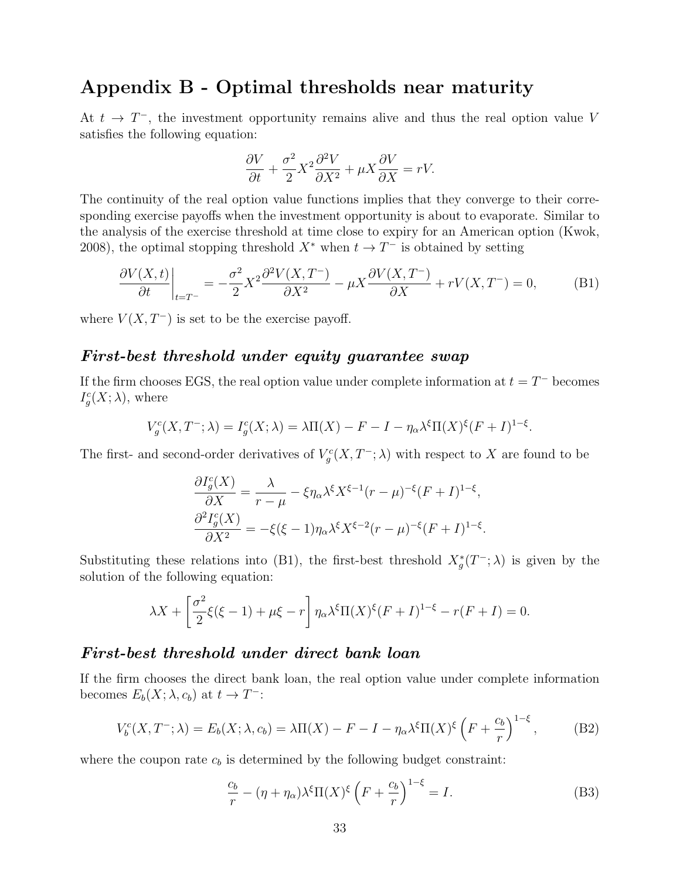## Appendix B - Optimal thresholds near maturity

At  $t \to T^-$ , the investment opportunity remains alive and thus the real option value V satisfies the following equation:

$$
\frac{\partial V}{\partial t} + \frac{\sigma^2}{2} X^2 \frac{\partial^2 V}{\partial X^2} + \mu X \frac{\partial V}{\partial X} = rV.
$$

The continuity of the real option value functions implies that they converge to their corresponding exercise payoffs when the investment opportunity is about to evaporate. Similar to the analysis of the exercise threshold at time close to expiry for an American option (Kwok, 2008), the optimal stopping threshold  $X^*$  when  $t \to T^-$  is obtained by setting

$$
\left. \frac{\partial V(X,t)}{\partial t} \right|_{t=T^-} = -\frac{\sigma^2}{2} X^2 \frac{\partial^2 V(X,T^-)}{\partial X^2} - \mu X \frac{\partial V(X,T^-)}{\partial X} + rV(X,T^-) = 0, \tag{B1}
$$

where  $V(X, T^-)$  is set to be the exercise payoff.

### First-best threshold under equity guarantee swap

If the firm chooses EGS, the real option value under complete information at  $t = T^-$  becomes  $I_g^c(X; \lambda)$ , where

$$
V_g^c(X, T^-; \lambda) = I_g^c(X; \lambda) = \lambda \Pi(X) - F - I - \eta_\alpha \lambda^\xi \Pi(X)^\xi (F + I)^{1-\xi}.
$$

The first- and second-order derivatives of  $V_g^c(X, T^-; \lambda)$  with respect to X are found to be

$$
\frac{\partial I_g^c(X)}{\partial X} = \frac{\lambda}{r - \mu} - \xi \eta_\alpha \lambda^\xi X^{\xi - 1} (r - \mu)^{-\xi} (F + I)^{1 - \xi},
$$
  

$$
\frac{\partial^2 I_g^c(X)}{\partial X^2} = -\xi (\xi - 1) \eta_\alpha \lambda^\xi X^{\xi - 2} (r - \mu)^{-\xi} (F + I)^{1 - \xi}.
$$

Substituting these relations into (B1), the first-best threshold  $X_g^*(T^-; \lambda)$  is given by the solution of the following equation:

$$
\lambda X + \left[\frac{\sigma^2}{2}\xi(\xi - 1) + \mu \xi - r\right] \eta_\alpha \lambda^\xi \Pi(X)^\xi (F + I)^{1-\xi} - r(F + I) = 0.
$$

#### First-best threshold under direct bank loan

If the firm chooses the direct bank loan, the real option value under complete information becomes  $E_b(X; \lambda, c_b)$  at  $t \to T^-$ :

$$
V_b^c(X, T^-; \lambda) = E_b(X; \lambda, c_b) = \lambda \Pi(X) - F - I - \eta_\alpha \lambda^\xi \Pi(X)^\xi \left( F + \frac{c_b}{r} \right)^{1-\xi}, \tag{B2}
$$

where the coupon rate  $c_b$  is determined by the following budget constraint:

$$
\frac{c_b}{r} - (\eta + \eta_\alpha) \lambda^\xi \Pi(X)^\xi \left( F + \frac{c_b}{r} \right)^{1-\xi} = I.
$$
 (B3)